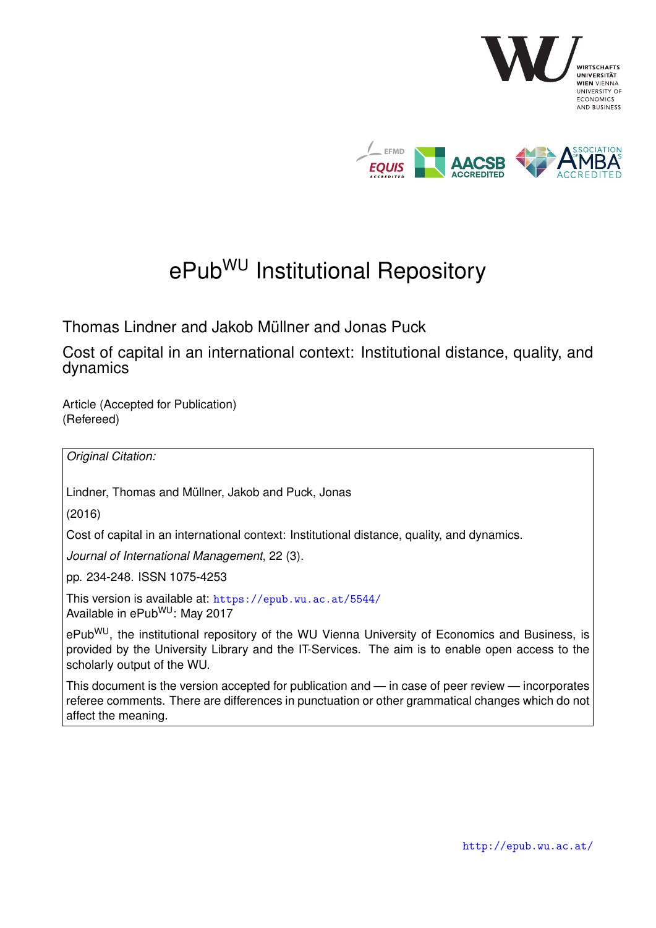

# ePub<sup>WU</sup> Institutional Repository

Thomas Lindner and Jakob Müllner and Jonas Puck

Cost of capital in an international context: Institutional distance, quality, and dynamics

Article (Accepted for Publication) (Refereed)

*Original Citation:*

Lindner, Thomas and Müllner, Jakob and Puck, Jonas

(2016)

Cost of capital in an international context: Institutional distance, quality, and dynamics.

*Journal of International Management*, 22 (3).

pp. 234-248. ISSN 1075-4253

This version is available at: <https://epub.wu.ac.at/5544/> Available in ePubWU: May 2017

ePub<sup>WU</sup>, the institutional repository of the WU Vienna University of Economics and Business, is provided by the University Library and the IT-Services. The aim is to enable open access to the scholarly output of the WU.

This document is the version accepted for publication and — in case of peer review — incorporates referee comments. There are differences in punctuation or other grammatical changes which do not affect the meaning.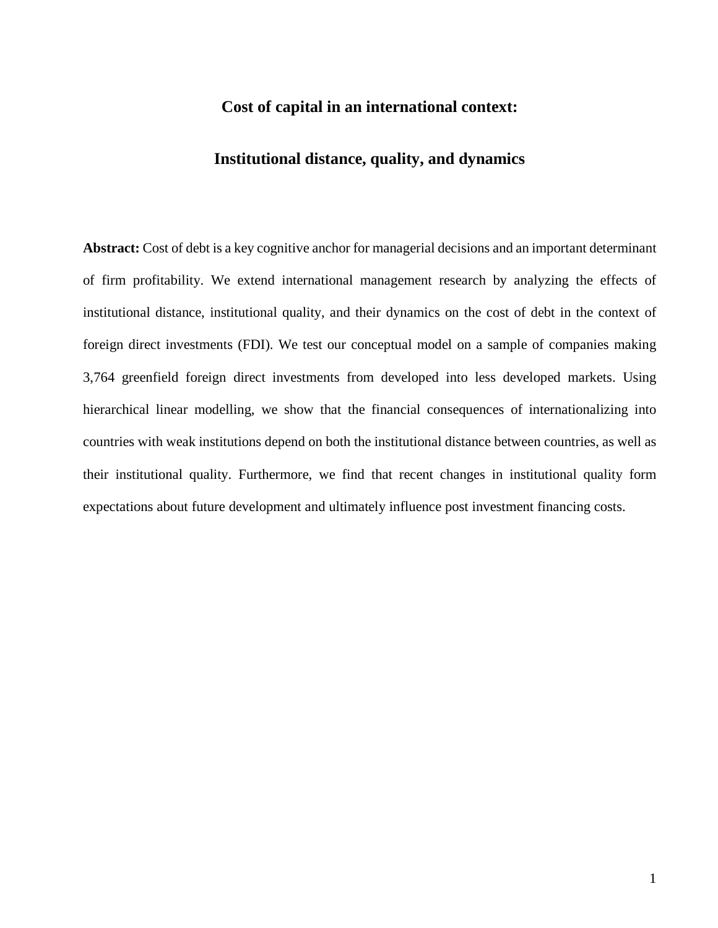# **Cost of capital in an international context:**

# **Institutional distance, quality, and dynamics**

**Abstract:** Cost of debt is a key cognitive anchor for managerial decisions and an important determinant of firm profitability. We extend international management research by analyzing the effects of institutional distance, institutional quality, and their dynamics on the cost of debt in the context of foreign direct investments (FDI). We test our conceptual model on a sample of companies making 3,764 greenfield foreign direct investments from developed into less developed markets. Using hierarchical linear modelling, we show that the financial consequences of internationalizing into countries with weak institutions depend on both the institutional distance between countries, as well as their institutional quality. Furthermore, we find that recent changes in institutional quality form expectations about future development and ultimately influence post investment financing costs.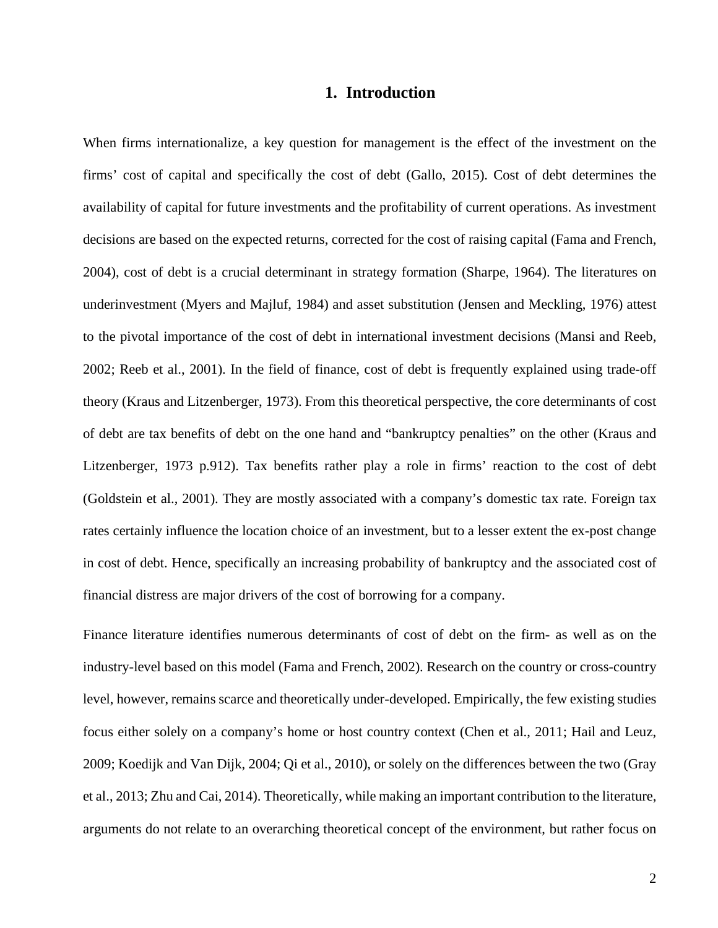### **1. Introduction**

When firms internationalize, a key question for management is the effect of the investment on the firms' cost of capital and specifically the cost of debt (Gallo, 2015). Cost of debt determines the availability of capital for future investments and the profitability of current operations. As investment decisions are based on the expected returns, corrected for the cost of raising capital (Fama and French, 2004), cost of debt is a crucial determinant in strategy formation (Sharpe, 1964). The literatures on underinvestment (Myers and Majluf, 1984) and asset substitution (Jensen and Meckling, 1976) attest to the pivotal importance of the cost of debt in international investment decisions (Mansi and Reeb, 2002; Reeb et al., 2001). In the field of finance, cost of debt is frequently explained using trade-off theory (Kraus and Litzenberger, 1973). From this theoretical perspective, the core determinants of cost of debt are tax benefits of debt on the one hand and "bankruptcy penalties" on the other (Kraus and Litzenberger, 1973 p.912). Tax benefits rather play a role in firms' reaction to the cost of debt (Goldstein et al., 2001). They are mostly associated with a company's domestic tax rate. Foreign tax rates certainly influence the location choice of an investment, but to a lesser extent the ex-post change in cost of debt. Hence, specifically an increasing probability of bankruptcy and the associated cost of financial distress are major drivers of the cost of borrowing for a company.

Finance literature identifies numerous determinants of cost of debt on the firm- as well as on the industry-level based on this model (Fama and French, 2002). Research on the country or cross-country level, however, remains scarce and theoretically under-developed. Empirically, the few existing studies focus either solely on a company's home or host country context (Chen et al., 2011; Hail and Leuz, 2009; Koedijk and Van Dijk, 2004; Qi et al., 2010), or solely on the differences between the two (Gray et al., 2013; Zhu and Cai, 2014). Theoretically, while making an important contribution to the literature, arguments do not relate to an overarching theoretical concept of the environment, but rather focus on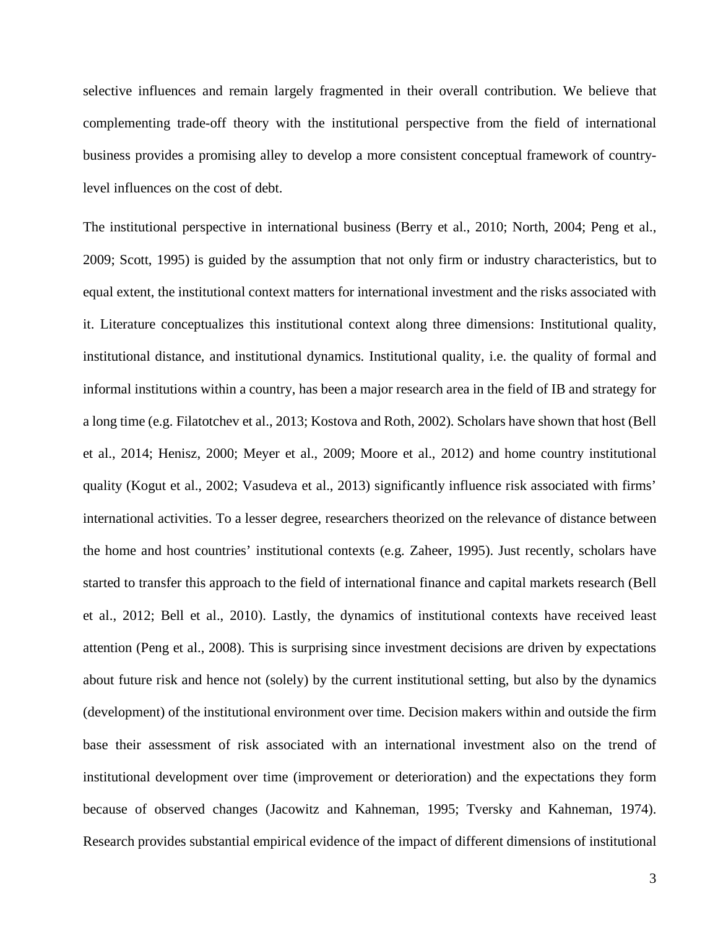selective influences and remain largely fragmented in their overall contribution. We believe that complementing trade-off theory with the institutional perspective from the field of international business provides a promising alley to develop a more consistent conceptual framework of countrylevel influences on the cost of debt.

The institutional perspective in international business (Berry et al., 2010; North, 2004; Peng et al., 2009; Scott, 1995) is guided by the assumption that not only firm or industry characteristics, but to equal extent, the institutional context matters for international investment and the risks associated with it. Literature conceptualizes this institutional context along three dimensions: Institutional quality, institutional distance, and institutional dynamics. Institutional quality, i.e. the quality of formal and informal institutions within a country, has been a major research area in the field of IB and strategy for a long time (e.g. Filatotchev et al., 2013; Kostova and Roth, 2002). Scholars have shown that host (Bell et al., 2014; Henisz, 2000; Meyer et al., 2009; Moore et al., 2012) and home country institutional quality (Kogut et al., 2002; Vasudeva et al., 2013) significantly influence risk associated with firms' international activities. To a lesser degree, researchers theorized on the relevance of distance between the home and host countries' institutional contexts (e.g. Zaheer, 1995). Just recently, scholars have started to transfer this approach to the field of international finance and capital markets research (Bell et al., 2012; Bell et al., 2010). Lastly, the dynamics of institutional contexts have received least attention (Peng et al., 2008). This is surprising since investment decisions are driven by expectations about future risk and hence not (solely) by the current institutional setting, but also by the dynamics (development) of the institutional environment over time. Decision makers within and outside the firm base their assessment of risk associated with an international investment also on the trend of institutional development over time (improvement or deterioration) and the expectations they form because of observed changes (Jacowitz and Kahneman, 1995; Tversky and Kahneman, 1974). Research provides substantial empirical evidence of the impact of different dimensions of institutional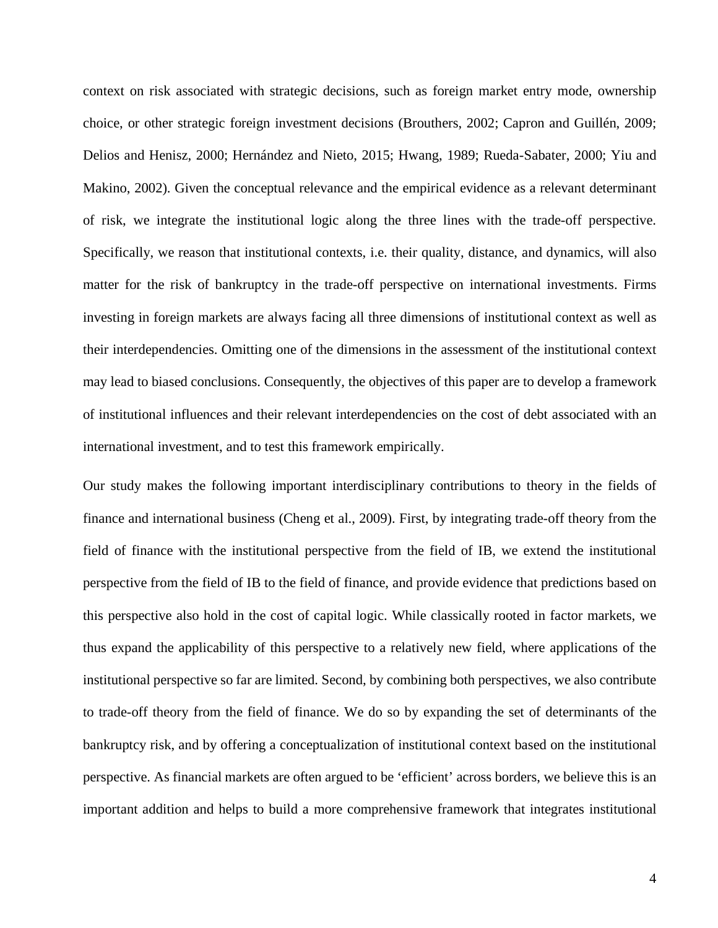context on risk associated with strategic decisions, such as foreign market entry mode, ownership choice, or other strategic foreign investment decisions (Brouthers, 2002; Capron and Guillén, 2009; Delios and Henisz, 2000; Hernández and Nieto, 2015; Hwang, 1989; Rueda-Sabater, 2000; Yiu and Makino, 2002). Given the conceptual relevance and the empirical evidence as a relevant determinant of risk, we integrate the institutional logic along the three lines with the trade-off perspective. Specifically, we reason that institutional contexts, i.e. their quality, distance, and dynamics, will also matter for the risk of bankruptcy in the trade-off perspective on international investments. Firms investing in foreign markets are always facing all three dimensions of institutional context as well as their interdependencies. Omitting one of the dimensions in the assessment of the institutional context may lead to biased conclusions. Consequently, the objectives of this paper are to develop a framework of institutional influences and their relevant interdependencies on the cost of debt associated with an international investment, and to test this framework empirically.

Our study makes the following important interdisciplinary contributions to theory in the fields of finance and international business (Cheng et al., 2009). First, by integrating trade-off theory from the field of finance with the institutional perspective from the field of IB, we extend the institutional perspective from the field of IB to the field of finance, and provide evidence that predictions based on this perspective also hold in the cost of capital logic. While classically rooted in factor markets, we thus expand the applicability of this perspective to a relatively new field, where applications of the institutional perspective so far are limited. Second, by combining both perspectives, we also contribute to trade-off theory from the field of finance. We do so by expanding the set of determinants of the bankruptcy risk, and by offering a conceptualization of institutional context based on the institutional perspective. As financial markets are often argued to be 'efficient' across borders, we believe this is an important addition and helps to build a more comprehensive framework that integrates institutional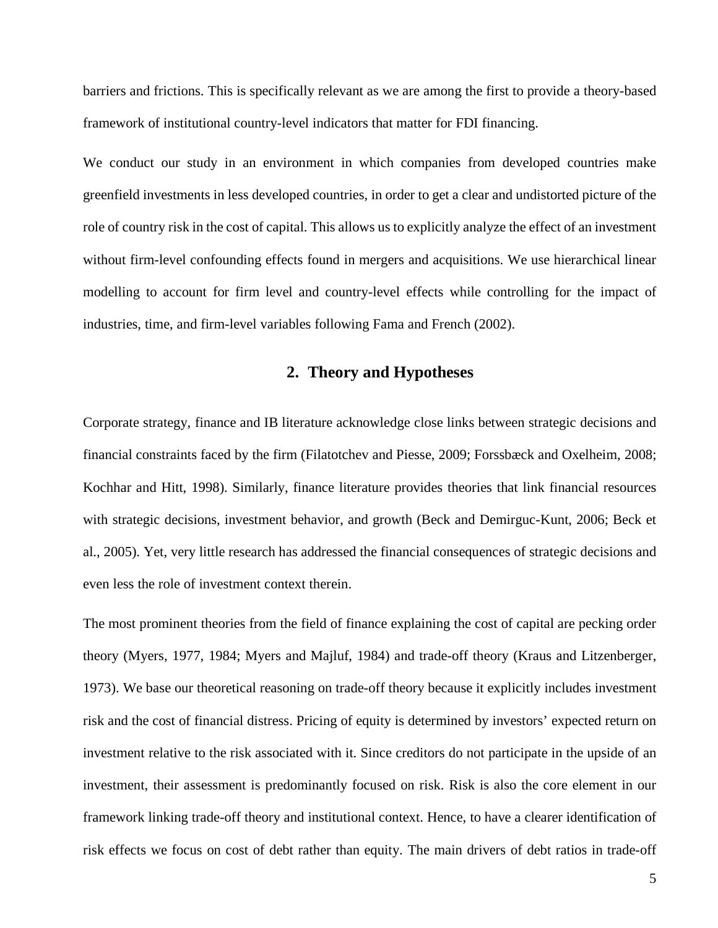barriers and frictions. This is specifically relevant as we are among the first to provide a theory-based framework of institutional country-level indicators that matter for FDI financing.

We conduct our study in an environment in which companies from developed countries make greenfield investments in less developed countries, in order to get a clear and undistorted picture of the role of country risk in the cost of capital. This allows us to explicitly analyze the effect of an investment without firm-level confounding effects found in mergers and acquisitions. We use hierarchical linear modelling to account for firm level and country-level effects while controlling for the impact of industries, time, and firm-level variables following Fama and French (2002).

#### **2. Theory and Hypotheses**

Corporate strategy, finance and IB literature acknowledge close links between strategic decisions and financial constraints faced by the firm (Filatotchev and Piesse, 2009; Forssbæck and Oxelheim, 2008; Kochhar and Hitt, 1998). Similarly, finance literature provides theories that link financial resources with strategic decisions, investment behavior, and growth (Beck and Demirguc-Kunt, 2006; Beck et al., 2005). Yet, very little research has addressed the financial consequences of strategic decisions and even less the role of investment context therein.

The most prominent theories from the field of finance explaining the cost of capital are pecking order theory (Myers, 1977, 1984; Myers and Majluf, 1984) and trade-off theory (Kraus and Litzenberger, 1973). We base our theoretical reasoning on trade-off theory because it explicitly includes investment risk and the cost of financial distress. Pricing of equity is determined by investors' expected return on investment relative to the risk associated with it. Since creditors do not participate in the upside of an investment, their assessment is predominantly focused on risk. Risk is also the core element in our framework linking trade-off theory and institutional context. Hence, to have a clearer identification of risk effects we focus on cost of debt rather than equity. The main drivers of debt ratios in trade-off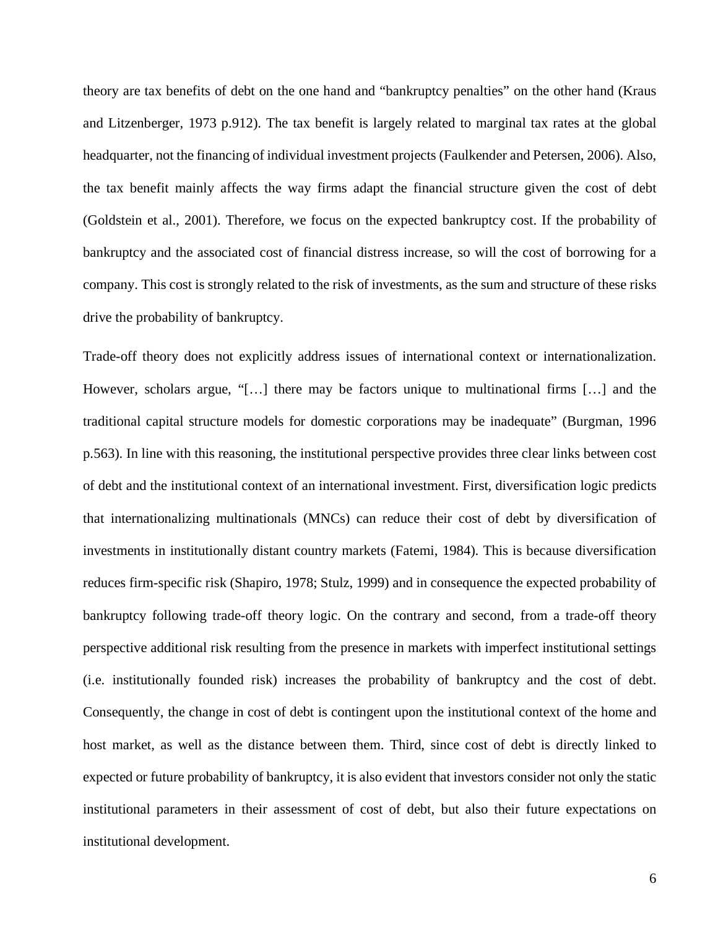theory are tax benefits of debt on the one hand and "bankruptcy penalties" on the other hand (Kraus and Litzenberger, 1973 p.912). The tax benefit is largely related to marginal tax rates at the global headquarter, not the financing of individual investment projects (Faulkender and Petersen, 2006). Also, the tax benefit mainly affects the way firms adapt the financial structure given the cost of debt (Goldstein et al., 2001). Therefore, we focus on the expected bankruptcy cost. If the probability of bankruptcy and the associated cost of financial distress increase, so will the cost of borrowing for a company. This cost is strongly related to the risk of investments, as the sum and structure of these risks drive the probability of bankruptcy.

Trade-off theory does not explicitly address issues of international context or internationalization. However, scholars argue, "[…] there may be factors unique to multinational firms […] and the traditional capital structure models for domestic corporations may be inadequate" (Burgman, 1996 p.563). In line with this reasoning, the institutional perspective provides three clear links between cost of debt and the institutional context of an international investment. First, diversification logic predicts that internationalizing multinationals (MNCs) can reduce their cost of debt by diversification of investments in institutionally distant country markets (Fatemi, 1984). This is because diversification reduces firm-specific risk (Shapiro, 1978; Stulz, 1999) and in consequence the expected probability of bankruptcy following trade-off theory logic. On the contrary and second, from a trade-off theory perspective additional risk resulting from the presence in markets with imperfect institutional settings (i.e. institutionally founded risk) increases the probability of bankruptcy and the cost of debt. Consequently, the change in cost of debt is contingent upon the institutional context of the home and host market, as well as the distance between them. Third, since cost of debt is directly linked to expected or future probability of bankruptcy, it is also evident that investors consider not only the static institutional parameters in their assessment of cost of debt, but also their future expectations on institutional development.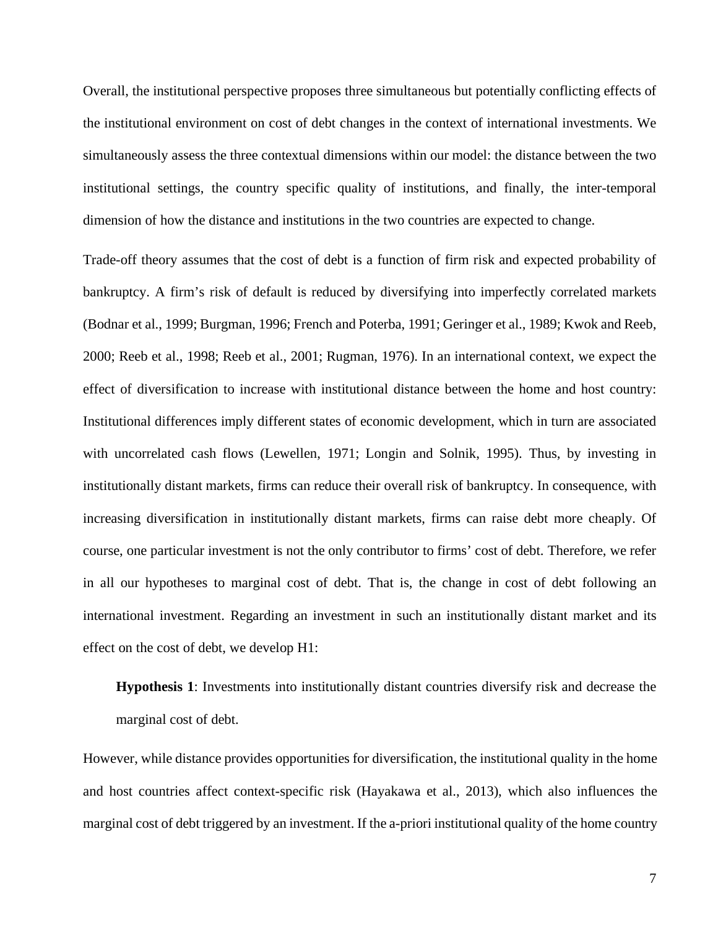Overall, the institutional perspective proposes three simultaneous but potentially conflicting effects of the institutional environment on cost of debt changes in the context of international investments. We simultaneously assess the three contextual dimensions within our model: the distance between the two institutional settings, the country specific quality of institutions, and finally, the inter-temporal dimension of how the distance and institutions in the two countries are expected to change.

Trade-off theory assumes that the cost of debt is a function of firm risk and expected probability of bankruptcy. A firm's risk of default is reduced by diversifying into imperfectly correlated markets (Bodnar et al., 1999; Burgman, 1996; French and Poterba, 1991; Geringer et al., 1989; Kwok and Reeb, 2000; Reeb et al., 1998; Reeb et al., 2001; Rugman, 1976). In an international context, we expect the effect of diversification to increase with institutional distance between the home and host country: Institutional differences imply different states of economic development, which in turn are associated with uncorrelated cash flows (Lewellen, 1971; Longin and Solnik, 1995). Thus, by investing in institutionally distant markets, firms can reduce their overall risk of bankruptcy. In consequence, with increasing diversification in institutionally distant markets, firms can raise debt more cheaply. Of course, one particular investment is not the only contributor to firms' cost of debt. Therefore, we refer in all our hypotheses to marginal cost of debt. That is, the change in cost of debt following an international investment. Regarding an investment in such an institutionally distant market and its effect on the cost of debt, we develop H1:

**Hypothesis 1**: Investments into institutionally distant countries diversify risk and decrease the marginal cost of debt.

However, while distance provides opportunities for diversification, the institutional quality in the home and host countries affect context-specific risk (Hayakawa et al., 2013), which also influences the marginal cost of debt triggered by an investment. If the a-priori institutional quality of the home country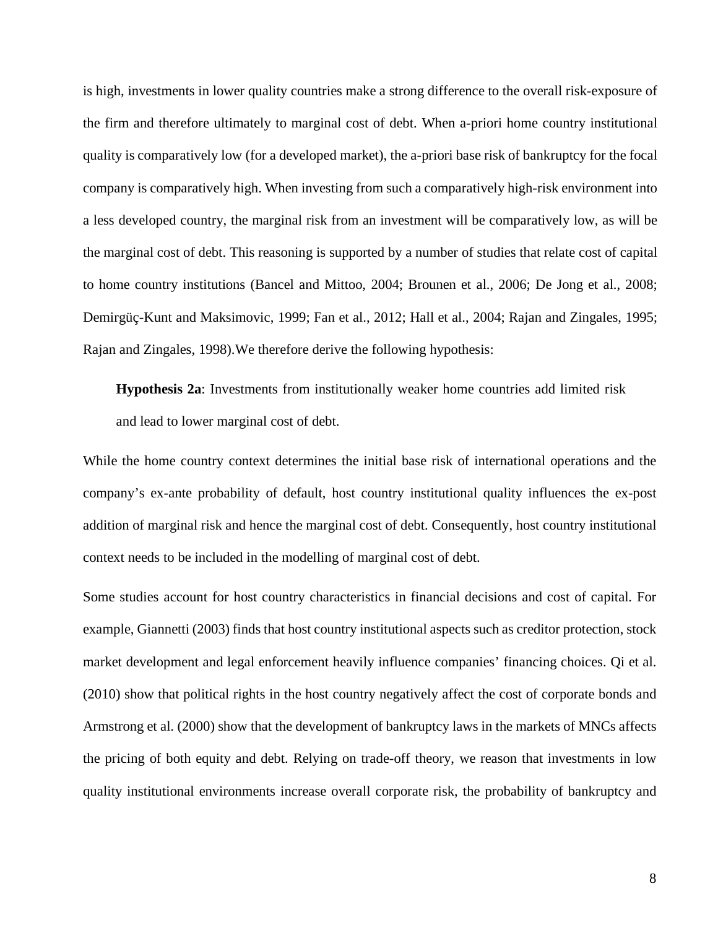is high, investments in lower quality countries make a strong difference to the overall risk-exposure of the firm and therefore ultimately to marginal cost of debt. When a-priori home country institutional quality is comparatively low (for a developed market), the a-priori base risk of bankruptcy for the focal company is comparatively high. When investing from such a comparatively high-risk environment into a less developed country, the marginal risk from an investment will be comparatively low, as will be the marginal cost of debt. This reasoning is supported by a number of studies that relate cost of capital to home country institutions (Bancel and Mittoo, 2004; Brounen et al., 2006; De Jong et al., 2008; Demirgüç-Kunt and Maksimovic, 1999; Fan et al., 2012; Hall et al., 2004; Rajan and Zingales, 1995; Rajan and Zingales, 1998).We therefore derive the following hypothesis:

**Hypothesis 2a**: Investments from institutionally weaker home countries add limited risk and lead to lower marginal cost of debt.

While the home country context determines the initial base risk of international operations and the company's ex-ante probability of default, host country institutional quality influences the ex-post addition of marginal risk and hence the marginal cost of debt. Consequently, host country institutional context needs to be included in the modelling of marginal cost of debt.

Some studies account for host country characteristics in financial decisions and cost of capital. For example, Giannetti (2003) finds that host country institutional aspects such as creditor protection, stock market development and legal enforcement heavily influence companies' financing choices. Qi et al. (2010) show that political rights in the host country negatively affect the cost of corporate bonds and Armstrong et al. (2000) show that the development of bankruptcy laws in the markets of MNCs affects the pricing of both equity and debt. Relying on trade-off theory, we reason that investments in low quality institutional environments increase overall corporate risk, the probability of bankruptcy and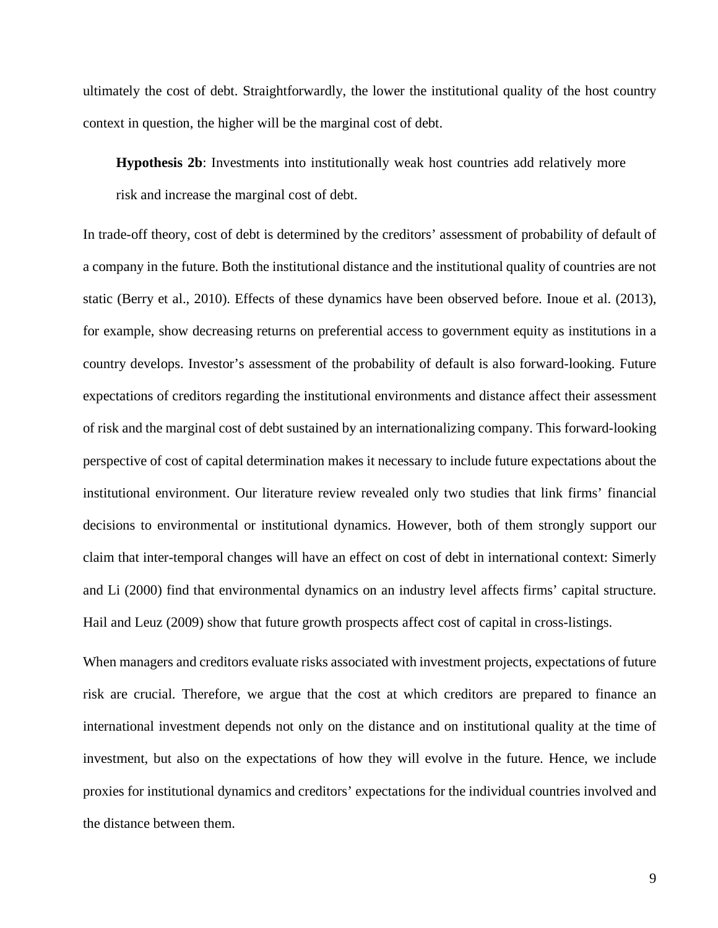ultimately the cost of debt. Straightforwardly, the lower the institutional quality of the host country context in question, the higher will be the marginal cost of debt.

**Hypothesis 2b**: Investments into institutionally weak host countries add relatively more risk and increase the marginal cost of debt.

In trade-off theory, cost of debt is determined by the creditors' assessment of probability of default of a company in the future. Both the institutional distance and the institutional quality of countries are not static (Berry et al., 2010). Effects of these dynamics have been observed before. Inoue et al. (2013), for example, show decreasing returns on preferential access to government equity as institutions in a country develops. Investor's assessment of the probability of default is also forward-looking. Future expectations of creditors regarding the institutional environments and distance affect their assessment of risk and the marginal cost of debt sustained by an internationalizing company. This forward-looking perspective of cost of capital determination makes it necessary to include future expectations about the institutional environment. Our literature review revealed only two studies that link firms' financial decisions to environmental or institutional dynamics. However, both of them strongly support our claim that inter-temporal changes will have an effect on cost of debt in international context: Simerly and Li (2000) find that environmental dynamics on an industry level affects firms' capital structure. Hail and Leuz (2009) show that future growth prospects affect cost of capital in cross-listings.

When managers and creditors evaluate risks associated with investment projects, expectations of future risk are crucial. Therefore, we argue that the cost at which creditors are prepared to finance an international investment depends not only on the distance and on institutional quality at the time of investment, but also on the expectations of how they will evolve in the future. Hence, we include proxies for institutional dynamics and creditors' expectations for the individual countries involved and the distance between them.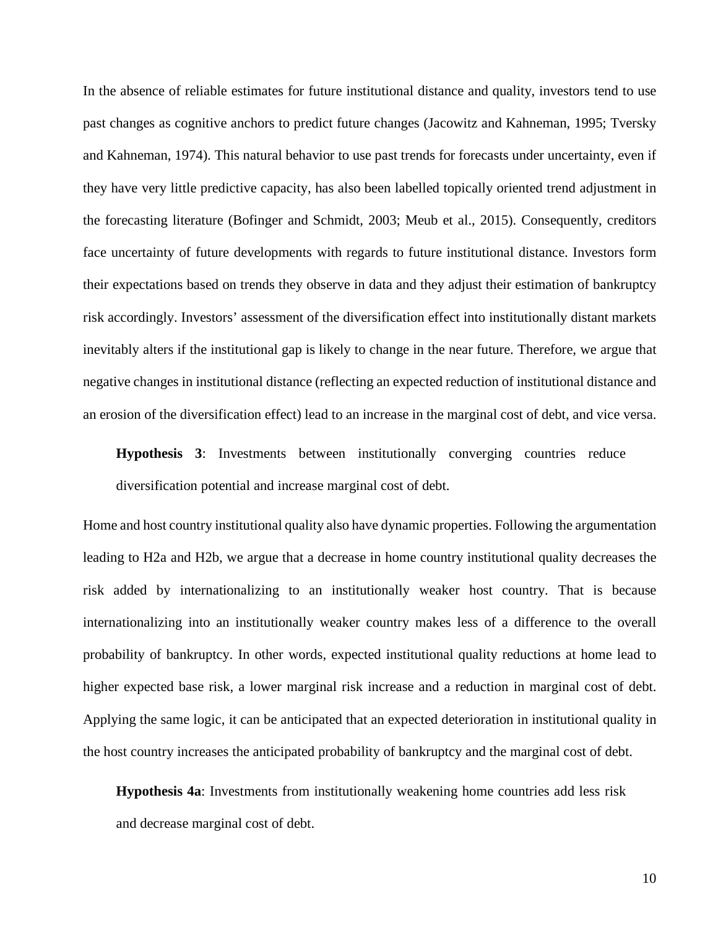In the absence of reliable estimates for future institutional distance and quality, investors tend to use past changes as cognitive anchors to predict future changes (Jacowitz and Kahneman, 1995; Tversky and Kahneman, 1974). This natural behavior to use past trends for forecasts under uncertainty, even if they have very little predictive capacity, has also been labelled topically oriented trend adjustment in the forecasting literature (Bofinger and Schmidt, 2003; Meub et al., 2015). Consequently, creditors face uncertainty of future developments with regards to future institutional distance. Investors form their expectations based on trends they observe in data and they adjust their estimation of bankruptcy risk accordingly. Investors' assessment of the diversification effect into institutionally distant markets inevitably alters if the institutional gap is likely to change in the near future. Therefore, we argue that negative changes in institutional distance (reflecting an expected reduction of institutional distance and an erosion of the diversification effect) lead to an increase in the marginal cost of debt, and vice versa.

**Hypothesis 3**: Investments between institutionally converging countries reduce diversification potential and increase marginal cost of debt.

Home and host country institutional quality also have dynamic properties. Following the argumentation leading to H2a and H2b, we argue that a decrease in home country institutional quality decreases the risk added by internationalizing to an institutionally weaker host country. That is because internationalizing into an institutionally weaker country makes less of a difference to the overall probability of bankruptcy. In other words, expected institutional quality reductions at home lead to higher expected base risk, a lower marginal risk increase and a reduction in marginal cost of debt. Applying the same logic, it can be anticipated that an expected deterioration in institutional quality in the host country increases the anticipated probability of bankruptcy and the marginal cost of debt.

**Hypothesis 4a**: Investments from institutionally weakening home countries add less risk and decrease marginal cost of debt.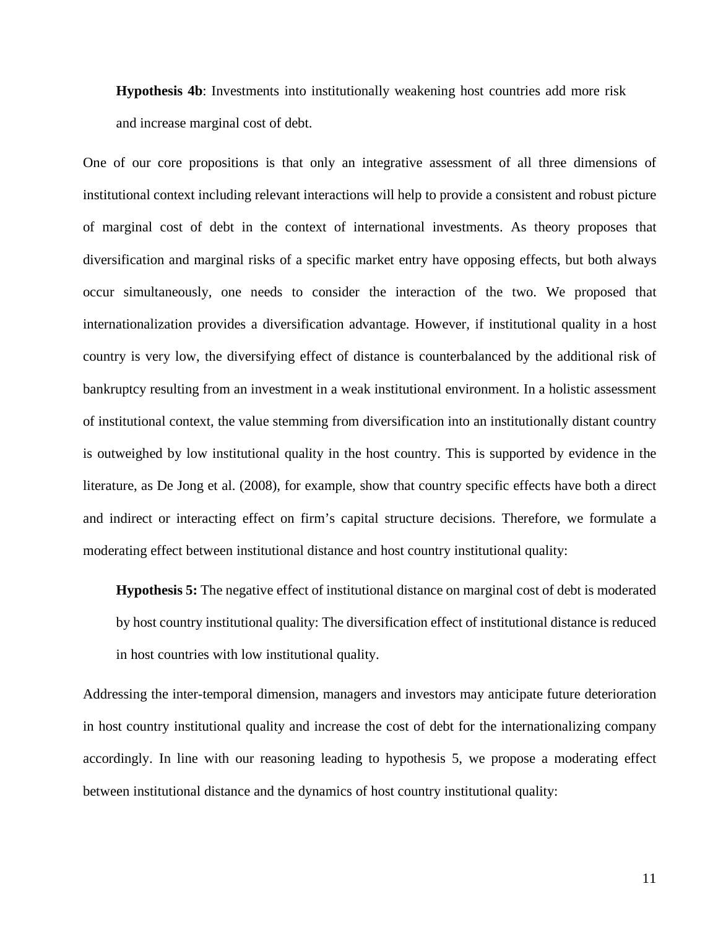**Hypothesis 4b**: Investments into institutionally weakening host countries add more risk and increase marginal cost of debt.

One of our core propositions is that only an integrative assessment of all three dimensions of institutional context including relevant interactions will help to provide a consistent and robust picture of marginal cost of debt in the context of international investments. As theory proposes that diversification and marginal risks of a specific market entry have opposing effects, but both always occur simultaneously, one needs to consider the interaction of the two. We proposed that internationalization provides a diversification advantage. However, if institutional quality in a host country is very low, the diversifying effect of distance is counterbalanced by the additional risk of bankruptcy resulting from an investment in a weak institutional environment. In a holistic assessment of institutional context, the value stemming from diversification into an institutionally distant country is outweighed by low institutional quality in the host country. This is supported by evidence in the literature, as De Jong et al. (2008), for example, show that country specific effects have both a direct and indirect or interacting effect on firm's capital structure decisions. Therefore, we formulate a moderating effect between institutional distance and host country institutional quality:

**Hypothesis 5:** The negative effect of institutional distance on marginal cost of debt is moderated by host country institutional quality: The diversification effect of institutional distance is reduced in host countries with low institutional quality.

Addressing the inter-temporal dimension, managers and investors may anticipate future deterioration in host country institutional quality and increase the cost of debt for the internationalizing company accordingly. In line with our reasoning leading to hypothesis 5, we propose a moderating effect between institutional distance and the dynamics of host country institutional quality: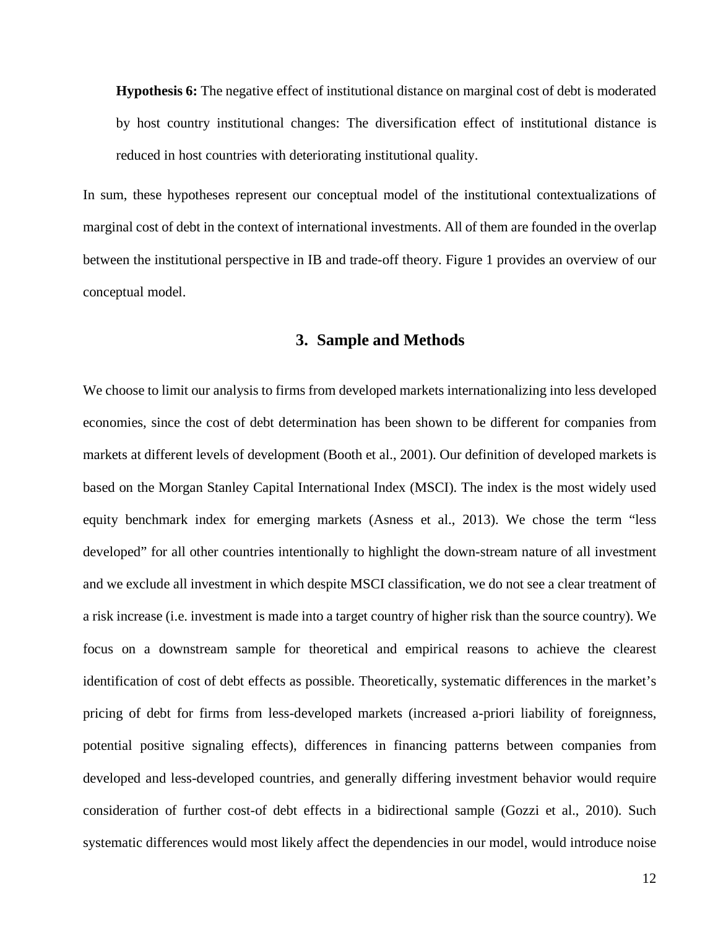**Hypothesis 6:** The negative effect of institutional distance on marginal cost of debt is moderated by host country institutional changes: The diversification effect of institutional distance is reduced in host countries with deteriorating institutional quality.

In sum, these hypotheses represent our conceptual model of the institutional contextualizations of marginal cost of debt in the context of international investments. All of them are founded in the overlap between the institutional perspective in IB and trade-off theory. [Figure 1](#page-25-0) provides an overview of our conceptual model.

#### **3. Sample and Methods**

We choose to limit our analysis to firms from developed markets internationalizing into less developed economies, since the cost of debt determination has been shown to be different for companies from markets at different levels of development (Booth et al., 2001). Our definition of developed markets is based on the Morgan Stanley Capital International Index (MSCI). The index is the most widely used equity benchmark index for emerging markets (Asness et al., 2013). We chose the term "less developed" for all other countries intentionally to highlight the down-stream nature of all investment and we exclude all investment in which despite MSCI classification, we do not see a clear treatment of a risk increase (i.e. investment is made into a target country of higher risk than the source country). We focus on a downstream sample for theoretical and empirical reasons to achieve the clearest identification of cost of debt effects as possible. Theoretically, systematic differences in the market's pricing of debt for firms from less-developed markets (increased a-priori liability of foreignness, potential positive signaling effects), differences in financing patterns between companies from developed and less-developed countries, and generally differing investment behavior would require consideration of further cost-of debt effects in a bidirectional sample (Gozzi et al., 2010). Such systematic differences would most likely affect the dependencies in our model, would introduce noise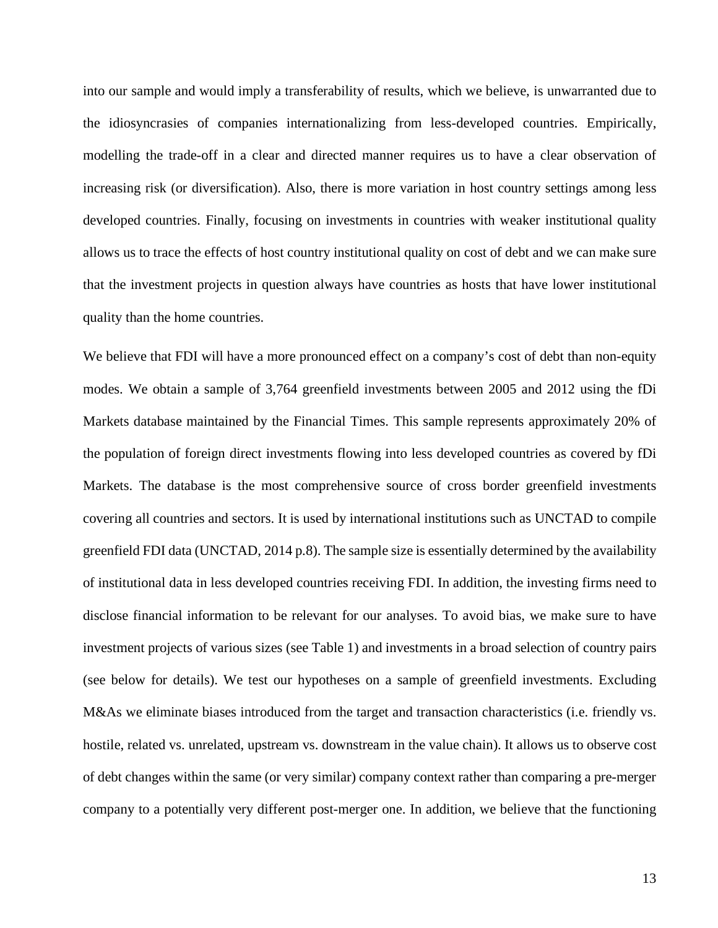into our sample and would imply a transferability of results, which we believe, is unwarranted due to the idiosyncrasies of companies internationalizing from less-developed countries. Empirically, modelling the trade-off in a clear and directed manner requires us to have a clear observation of increasing risk (or diversification). Also, there is more variation in host country settings among less developed countries. Finally, focusing on investments in countries with weaker institutional quality allows us to trace the effects of host country institutional quality on cost of debt and we can make sure that the investment projects in question always have countries as hosts that have lower institutional quality than the home countries.

We believe that FDI will have a more pronounced effect on a company's cost of debt than non-equity modes. We obtain a sample of 3,764 greenfield investments between 2005 and 2012 using the fDi Markets database maintained by the Financial Times. This sample represents approximately 20% of the population of foreign direct investments flowing into less developed countries as covered by fDi Markets. The database is the most comprehensive source of cross border greenfield investments covering all countries and sectors. It is used by international institutions such as UNCTAD to compile greenfield FDI data (UNCTAD, 2014 p.8). The sample size is essentially determined by the availability of institutional data in less developed countries receiving FDI. In addition, the investing firms need to disclose financial information to be relevant for our analyses. To avoid bias, we make sure to have investment projects of various sizes (see Table 1) and investments in a broad selection of country pairs (see below for details). We test our hypotheses on a sample of greenfield investments. Excluding M&As we eliminate biases introduced from the target and transaction characteristics (i.e. friendly vs. hostile, related vs. unrelated, upstream vs. downstream in the value chain). It allows us to observe cost of debt changes within the same (or very similar) company context rather than comparing a pre-merger company to a potentially very different post-merger one. In addition, we believe that the functioning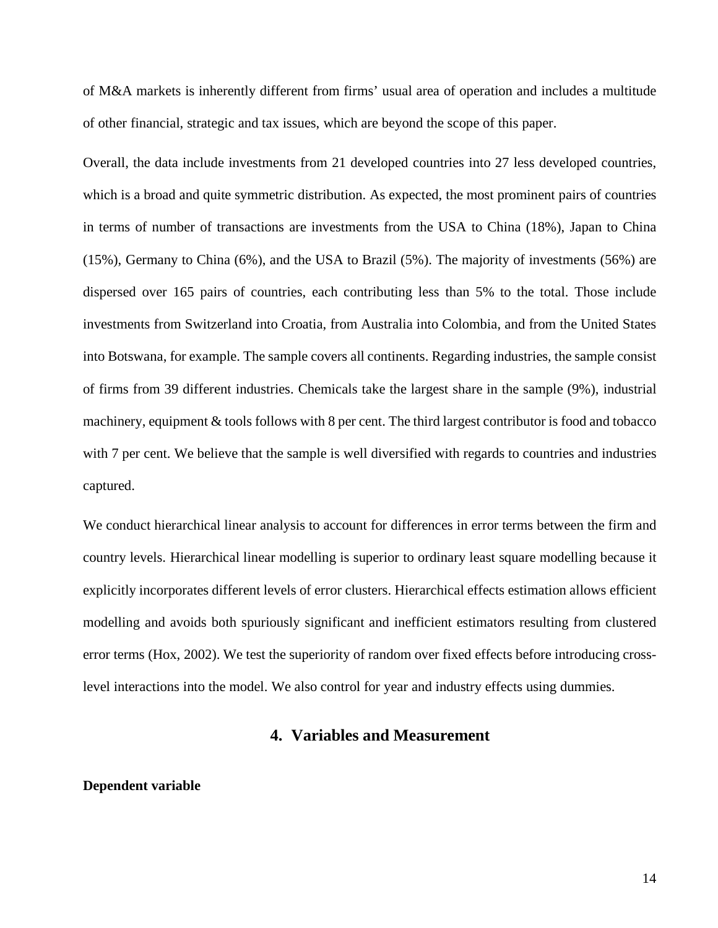of M&A markets is inherently different from firms' usual area of operation and includes a multitude of other financial, strategic and tax issues, which are beyond the scope of this paper.

Overall, the data include investments from 21 developed countries into 27 less developed countries, which is a broad and quite symmetric distribution. As expected, the most prominent pairs of countries in terms of number of transactions are investments from the USA to China (18%), Japan to China (15%), Germany to China (6%), and the USA to Brazil (5%). The majority of investments (56%) are dispersed over 165 pairs of countries, each contributing less than 5% to the total. Those include investments from Switzerland into Croatia, from Australia into Colombia, and from the United States into Botswana, for example. The sample covers all continents. Regarding industries, the sample consist of firms from 39 different industries. Chemicals take the largest share in the sample (9%), industrial machinery, equipment & tools follows with 8 per cent. The third largest contributor is food and tobacco with 7 per cent. We believe that the sample is well diversified with regards to countries and industries captured.

We conduct hierarchical linear analysis to account for differences in error terms between the firm and country levels. Hierarchical linear modelling is superior to ordinary least square modelling because it explicitly incorporates different levels of error clusters. Hierarchical effects estimation allows efficient modelling and avoids both spuriously significant and inefficient estimators resulting from clustered error terms (Hox, 2002). We test the superiority of random over fixed effects before introducing crosslevel interactions into the model. We also control for year and industry effects using dummies.

# **4. Variables and Measurement**

#### **Dependent variable**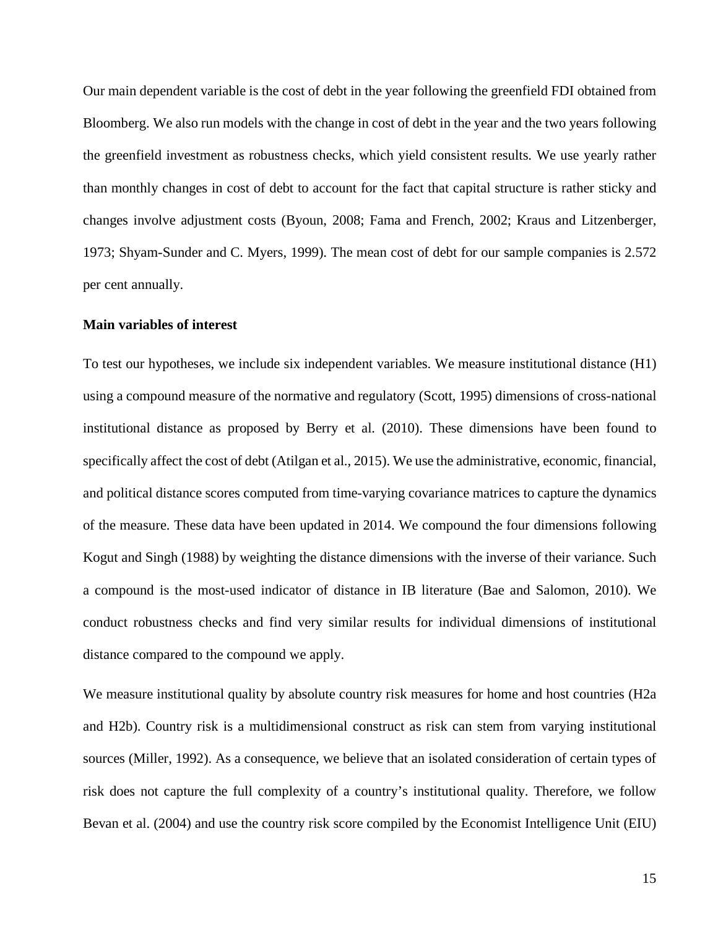Our main dependent variable is the cost of debt in the year following the greenfield FDI obtained from Bloomberg. We also run models with the change in cost of debt in the year and the two years following the greenfield investment as robustness checks, which yield consistent results. We use yearly rather than monthly changes in cost of debt to account for the fact that capital structure is rather sticky and changes involve adjustment costs (Byoun, 2008; Fama and French, 2002; Kraus and Litzenberger, 1973; Shyam-Sunder and C. Myers, 1999). The mean cost of debt for our sample companies is 2.572 per cent annually.

#### **Main variables of interest**

To test our hypotheses, we include six independent variables. We measure institutional distance (H1) using a compound measure of the normative and regulatory (Scott, 1995) dimensions of cross-national institutional distance as proposed by Berry et al. (2010). These dimensions have been found to specifically affect the cost of debt (Atilgan et al., 2015). We use the administrative, economic, financial, and political distance scores computed from time-varying covariance matrices to capture the dynamics of the measure. These data have been updated in 2014. We compound the four dimensions following Kogut and Singh (1988) by weighting the distance dimensions with the inverse of their variance. Such a compound is the most-used indicator of distance in IB literature (Bae and Salomon, 2010). We conduct robustness checks and find very similar results for individual dimensions of institutional distance compared to the compound we apply.

We measure institutional quality by absolute country risk measures for home and host countries (H2a) and H2b). Country risk is a multidimensional construct as risk can stem from varying institutional sources (Miller, 1992). As a consequence, we believe that an isolated consideration of certain types of risk does not capture the full complexity of a country's institutional quality. Therefore, we follow Bevan et al. (2004) and use the country risk score compiled by the Economist Intelligence Unit (EIU)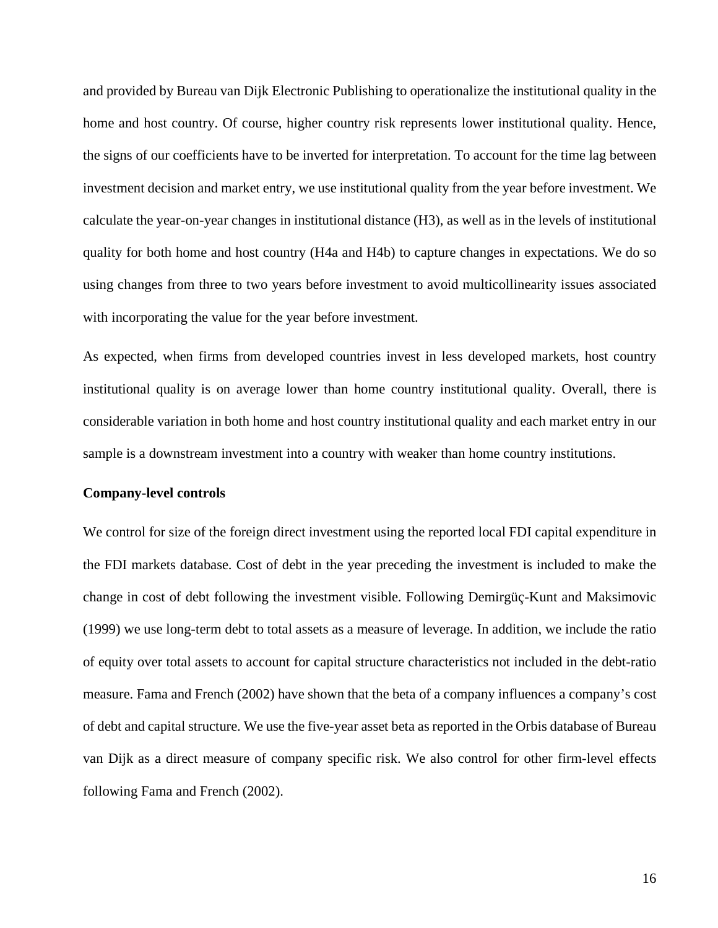and provided by Bureau van Dijk Electronic Publishing to operationalize the institutional quality in the home and host country. Of course, higher country risk represents lower institutional quality. Hence, the signs of our coefficients have to be inverted for interpretation. To account for the time lag between investment decision and market entry, we use institutional quality from the year before investment. We calculate the year-on-year changes in institutional distance (H3), as well as in the levels of institutional quality for both home and host country (H4a and H4b) to capture changes in expectations. We do so using changes from three to two years before investment to avoid multicollinearity issues associated with incorporating the value for the year before investment.

As expected, when firms from developed countries invest in less developed markets, host country institutional quality is on average lower than home country institutional quality. Overall, there is considerable variation in both home and host country institutional quality and each market entry in our sample is a downstream investment into a country with weaker than home country institutions.

#### **Company-level controls**

We control for size of the foreign direct investment using the reported local FDI capital expenditure in the FDI markets database. Cost of debt in the year preceding the investment is included to make the change in cost of debt following the investment visible. Following Demirgüç-Kunt and Maksimovic (1999) we use long-term debt to total assets as a measure of leverage. In addition, we include the ratio of equity over total assets to account for capital structure characteristics not included in the debt-ratio measure. Fama and French (2002) have shown that the beta of a company influences a company's cost of debt and capital structure. We use the five-year asset beta as reported in the Orbis database of Bureau van Dijk as a direct measure of company specific risk. We also control for other firm-level effects following Fama and French (2002).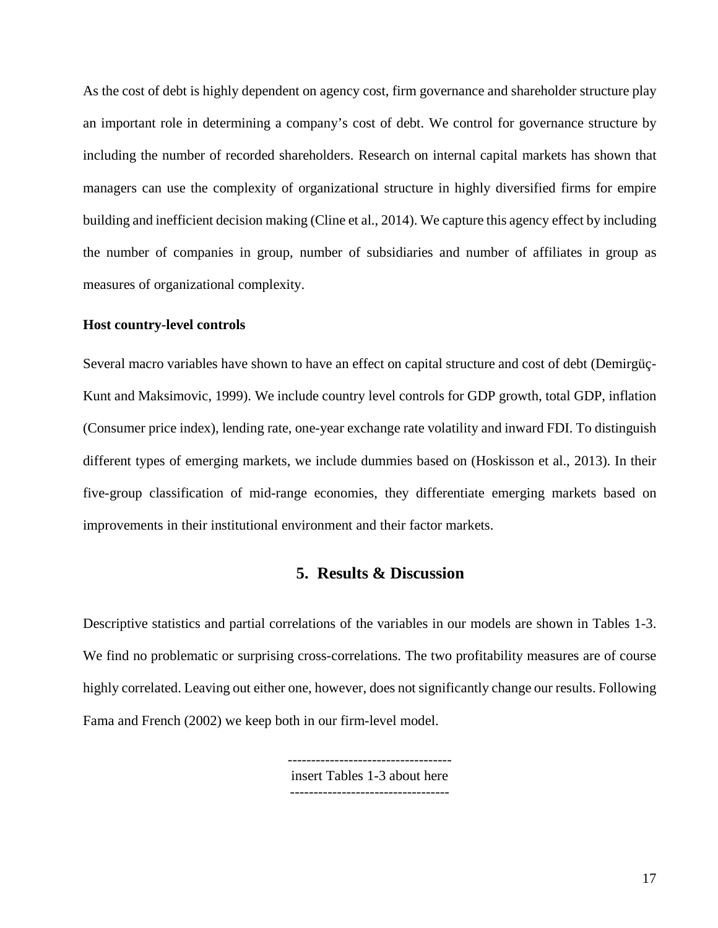As the cost of debt is highly dependent on agency cost, firm governance and shareholder structure play an important role in determining a company's cost of debt. We control for governance structure by including the number of recorded shareholders. Research on internal capital markets has shown that managers can use the complexity of organizational structure in highly diversified firms for empire building and inefficient decision making (Cline et al., 2014). We capture this agency effect by including the number of companies in group, number of subsidiaries and number of affiliates in group as measures of organizational complexity.

#### **Host country-level controls**

Several macro variables have shown to have an effect on capital structure and cost of debt (Demirgüç-Kunt and Maksimovic, 1999). We include country level controls for GDP growth, total GDP, inflation (Consumer price index), lending rate, one-year exchange rate volatility and inward FDI. To distinguish different types of emerging markets, we include dummies based on (Hoskisson et al., 2013). In their five-group classification of mid-range economies, they differentiate emerging markets based on improvements in their institutional environment and their factor markets.

#### **5. Results & Discussion**

Descriptive statistics and partial correlations of the variables in our models are shown in Tables 1-3. We find no problematic or surprising cross-correlations. The two profitability measures are of course highly correlated. Leaving out either one, however, does not significantly change our results. Following Fama and French (2002) we keep both in our firm-level model.

> ---------------------------------- insert Tables 1-3 about here ----------------------------------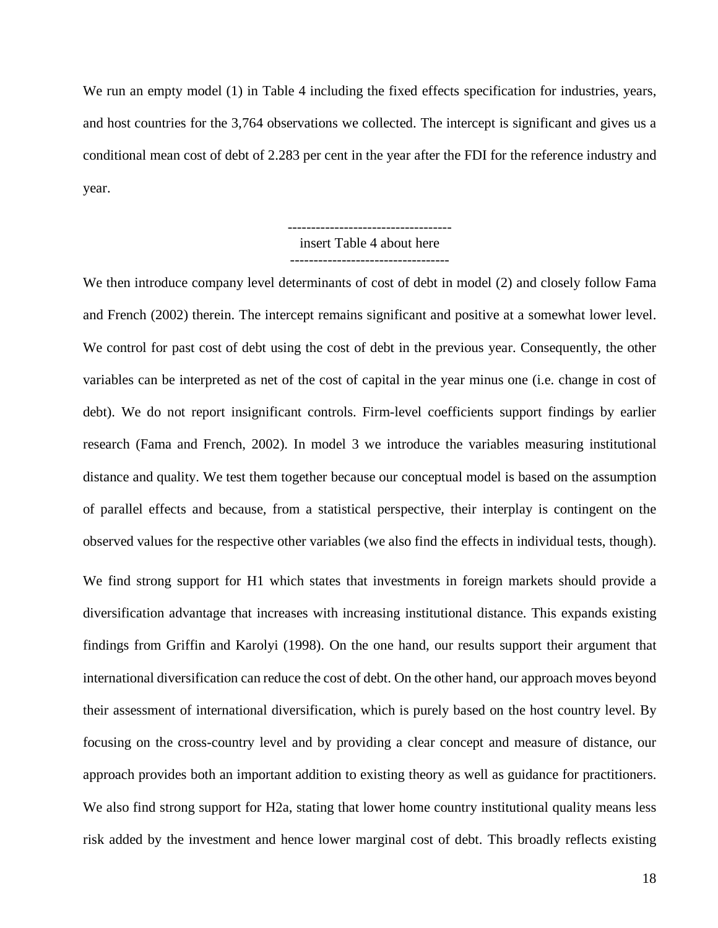We run an empty model (1) in Table 4 including the fixed effects specification for industries, years, and host countries for the 3,764 observations we collected. The intercept is significant and gives us a conditional mean cost of debt of 2.283 per cent in the year after the FDI for the reference industry and year.

> ---------------------------------- insert Table 4 about here ----------------------------------

We then introduce company level determinants of cost of debt in model (2) and closely follow Fama and French (2002) therein. The intercept remains significant and positive at a somewhat lower level. We control for past cost of debt using the cost of debt in the previous year. Consequently, the other variables can be interpreted as net of the cost of capital in the year minus one (i.e. change in cost of debt). We do not report insignificant controls. Firm-level coefficients support findings by earlier research (Fama and French, 2002). In model 3 we introduce the variables measuring institutional distance and quality. We test them together because our conceptual model is based on the assumption of parallel effects and because, from a statistical perspective, their interplay is contingent on the observed values for the respective other variables (we also find the effects in individual tests, though).

We find strong support for H1 which states that investments in foreign markets should provide a diversification advantage that increases with increasing institutional distance. This expands existing findings from Griffin and Karolyi (1998). On the one hand, our results support their argument that international diversification can reduce the cost of debt. On the other hand, our approach moves beyond their assessment of international diversification, which is purely based on the host country level. By focusing on the cross-country level and by providing a clear concept and measure of distance, our approach provides both an important addition to existing theory as well as guidance for practitioners. We also find strong support for H2a, stating that lower home country institutional quality means less risk added by the investment and hence lower marginal cost of debt. This broadly reflects existing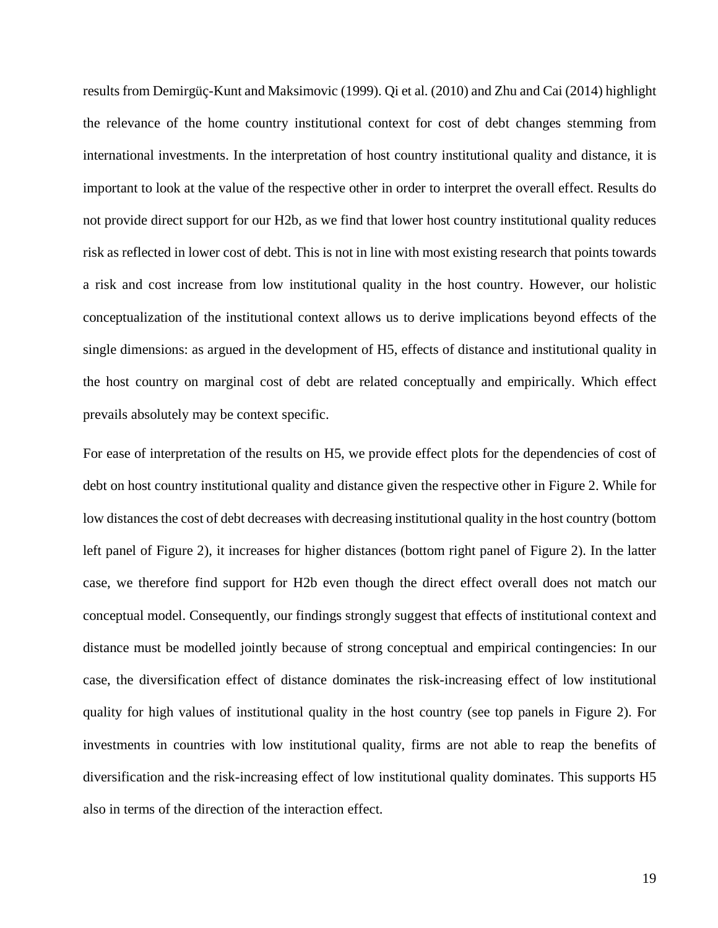results from Demirgüç-Kunt and Maksimovic (1999). Qi et al. (2010) and Zhu and Cai (2014) highlight the relevance of the home country institutional context for cost of debt changes stemming from international investments. In the interpretation of host country institutional quality and distance, it is important to look at the value of the respective other in order to interpret the overall effect. Results do not provide direct support for our H2b, as we find that lower host country institutional quality reduces risk as reflected in lower cost of debt. This is not in line with most existing research that points towards a risk and cost increase from low institutional quality in the host country. However, our holistic conceptualization of the institutional context allows us to derive implications beyond effects of the single dimensions: as argued in the development of H5, effects of distance and institutional quality in the host country on marginal cost of debt are related conceptually and empirically. Which effect prevails absolutely may be context specific.

For ease of interpretation of the results on H5, we provide effect plots for the dependencies of cost of debt on host country institutional quality and distance given the respective other in Figure 2. While for low distances the cost of debt decreases with decreasing institutional quality in the host country (bottom left panel of Figure 2), it increases for higher distances (bottom right panel of Figure 2). In the latter case, we therefore find support for H2b even though the direct effect overall does not match our conceptual model. Consequently, our findings strongly suggest that effects of institutional context and distance must be modelled jointly because of strong conceptual and empirical contingencies: In our case, the diversification effect of distance dominates the risk-increasing effect of low institutional quality for high values of institutional quality in the host country (see top panels in Figure 2). For investments in countries with low institutional quality, firms are not able to reap the benefits of diversification and the risk-increasing effect of low institutional quality dominates. This supports H5 also in terms of the direction of the interaction effect.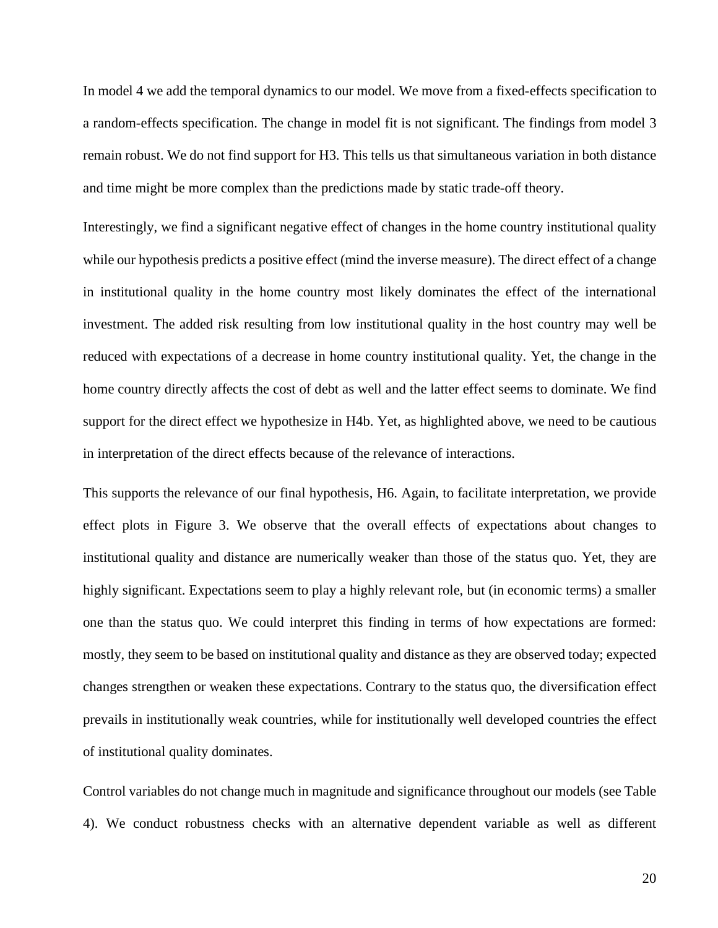In model 4 we add the temporal dynamics to our model. We move from a fixed-effects specification to a random-effects specification. The change in model fit is not significant. The findings from model 3 remain robust. We do not find support for H3. This tells us that simultaneous variation in both distance and time might be more complex than the predictions made by static trade-off theory.

Interestingly, we find a significant negative effect of changes in the home country institutional quality while our hypothesis predicts a positive effect (mind the inverse measure). The direct effect of a change in institutional quality in the home country most likely dominates the effect of the international investment. The added risk resulting from low institutional quality in the host country may well be reduced with expectations of a decrease in home country institutional quality. Yet, the change in the home country directly affects the cost of debt as well and the latter effect seems to dominate. We find support for the direct effect we hypothesize in H4b. Yet, as highlighted above, we need to be cautious in interpretation of the direct effects because of the relevance of interactions.

This supports the relevance of our final hypothesis, H6. Again, to facilitate interpretation, we provide effect plots in Figure 3. We observe that the overall effects of expectations about changes to institutional quality and distance are numerically weaker than those of the status quo. Yet, they are highly significant. Expectations seem to play a highly relevant role, but (in economic terms) a smaller one than the status quo. We could interpret this finding in terms of how expectations are formed: mostly, they seem to be based on institutional quality and distance as they are observed today; expected changes strengthen or weaken these expectations. Contrary to the status quo, the diversification effect prevails in institutionally weak countries, while for institutionally well developed countries the effect of institutional quality dominates.

Control variables do not change much in magnitude and significance throughout our models (see Table 4). We conduct robustness checks with an alternative dependent variable as well as different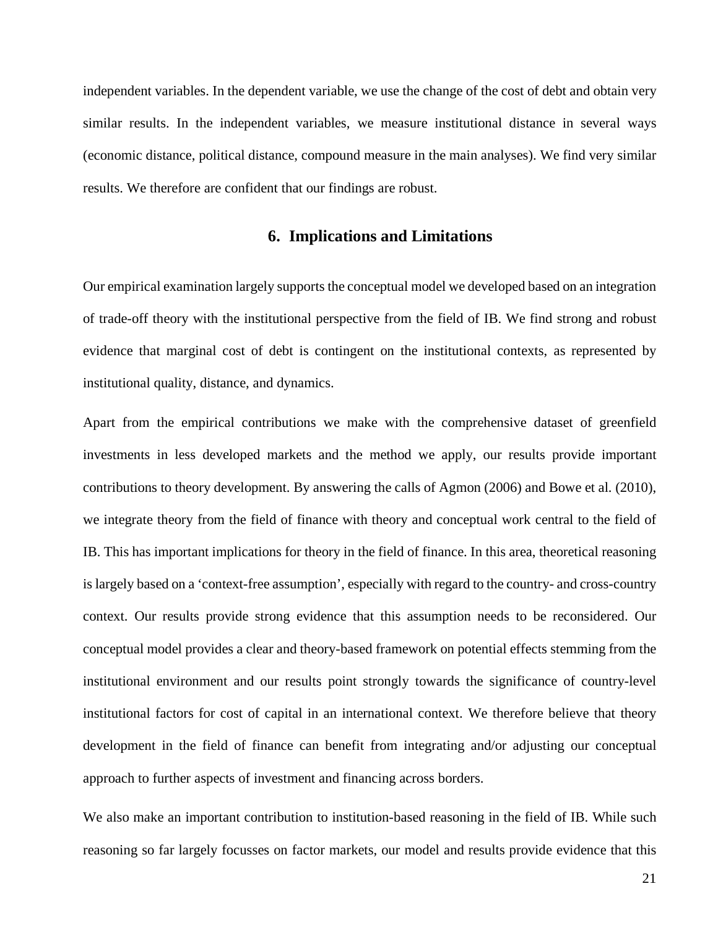independent variables. In the dependent variable, we use the change of the cost of debt and obtain very similar results. In the independent variables, we measure institutional distance in several ways (economic distance, political distance, compound measure in the main analyses). We find very similar results. We therefore are confident that our findings are robust.

# **6. Implications and Limitations**

Our empirical examination largely supports the conceptual model we developed based on an integration of trade-off theory with the institutional perspective from the field of IB. We find strong and robust evidence that marginal cost of debt is contingent on the institutional contexts, as represented by institutional quality, distance, and dynamics.

Apart from the empirical contributions we make with the comprehensive dataset of greenfield investments in less developed markets and the method we apply, our results provide important contributions to theory development. By answering the calls of Agmon (2006) and Bowe et al. (2010), we integrate theory from the field of finance with theory and conceptual work central to the field of IB. This has important implications for theory in the field of finance. In this area, theoretical reasoning is largely based on a 'context-free assumption', especially with regard to the country- and cross-country context. Our results provide strong evidence that this assumption needs to be reconsidered. Our conceptual model provides a clear and theory-based framework on potential effects stemming from the institutional environment and our results point strongly towards the significance of country-level institutional factors for cost of capital in an international context. We therefore believe that theory development in the field of finance can benefit from integrating and/or adjusting our conceptual approach to further aspects of investment and financing across borders.

We also make an important contribution to institution-based reasoning in the field of IB. While such reasoning so far largely focusses on factor markets, our model and results provide evidence that this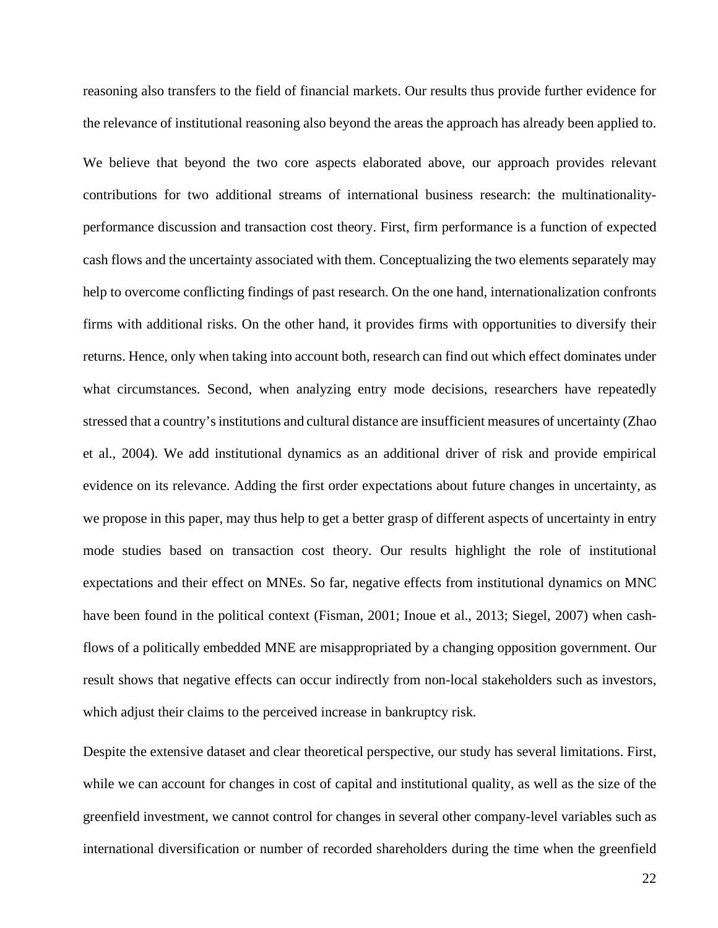reasoning also transfers to the field of financial markets. Our results thus provide further evidence for the relevance of institutional reasoning also beyond the areas the approach has already been applied to. We believe that beyond the two core aspects elaborated above, our approach provides relevant contributions for two additional streams of international business research: the multinationalityperformance discussion and transaction cost theory. First, firm performance is a function of expected cash flows and the uncertainty associated with them. Conceptualizing the two elements separately may help to overcome conflicting findings of past research. On the one hand, internationalization confronts firms with additional risks. On the other hand, it provides firms with opportunities to diversify their returns. Hence, only when taking into account both, research can find out which effect dominates under what circumstances. Second, when analyzing entry mode decisions, researchers have repeatedly stressed that a country's institutions and cultural distance are insufficient measures of uncertainty (Zhao et al., 2004). We add institutional dynamics as an additional driver of risk and provide empirical evidence on its relevance. Adding the first order expectations about future changes in uncertainty, as we propose in this paper, may thus help to get a better grasp of different aspects of uncertainty in entry mode studies based on transaction cost theory. Our results highlight the role of institutional expectations and their effect on MNEs. So far, negative effects from institutional dynamics on MNC have been found in the political context (Fisman, 2001; Inoue et al., 2013; Siegel, 2007) when cashflows of a politically embedded MNE are misappropriated by a changing opposition government. Our result shows that negative effects can occur indirectly from non-local stakeholders such as investors, which adjust their claims to the perceived increase in bankruptcy risk*.*

Despite the extensive dataset and clear theoretical perspective, our study has several limitations. First, while we can account for changes in cost of capital and institutional quality, as well as the size of the greenfield investment, we cannot control for changes in several other company-level variables such as international diversification or number of recorded shareholders during the time when the greenfield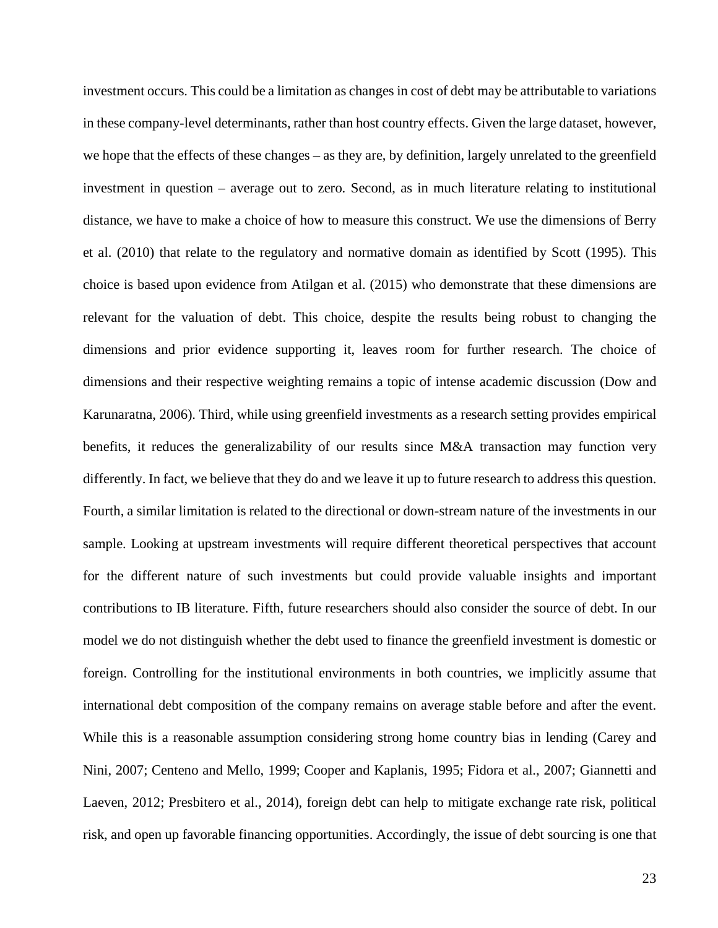investment occurs. This could be a limitation as changes in cost of debt may be attributable to variations in these company-level determinants, rather than host country effects. Given the large dataset, however, we hope that the effects of these changes – as they are, by definition, largely unrelated to the greenfield investment in question – average out to zero. Second, as in much literature relating to institutional distance, we have to make a choice of how to measure this construct. We use the dimensions of Berry et al. (2010) that relate to the regulatory and normative domain as identified by Scott (1995). This choice is based upon evidence from Atilgan et al. (2015) who demonstrate that these dimensions are relevant for the valuation of debt. This choice, despite the results being robust to changing the dimensions and prior evidence supporting it, leaves room for further research. The choice of dimensions and their respective weighting remains a topic of intense academic discussion (Dow and Karunaratna, 2006). Third, while using greenfield investments as a research setting provides empirical benefits, it reduces the generalizability of our results since M&A transaction may function very differently. In fact, we believe that they do and we leave it up to future research to address this question. Fourth, a similar limitation is related to the directional or down-stream nature of the investments in our sample. Looking at upstream investments will require different theoretical perspectives that account for the different nature of such investments but could provide valuable insights and important contributions to IB literature. Fifth, future researchers should also consider the source of debt. In our model we do not distinguish whether the debt used to finance the greenfield investment is domestic or foreign. Controlling for the institutional environments in both countries, we implicitly assume that international debt composition of the company remains on average stable before and after the event. While this is a reasonable assumption considering strong home country bias in lending (Carey and Nini, 2007; Centeno and Mello, 1999; Cooper and Kaplanis, 1995; Fidora et al., 2007; Giannetti and Laeven, 2012; Presbitero et al., 2014), foreign debt can help to mitigate exchange rate risk, political risk, and open up favorable financing opportunities. Accordingly, the issue of debt sourcing is one that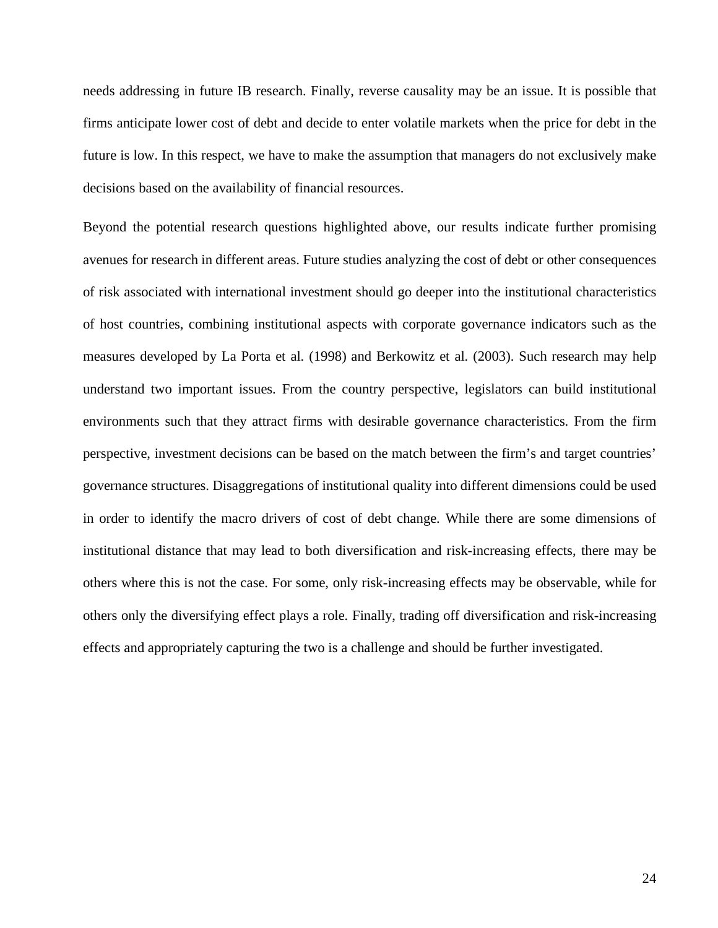needs addressing in future IB research. Finally, reverse causality may be an issue. It is possible that firms anticipate lower cost of debt and decide to enter volatile markets when the price for debt in the future is low. In this respect, we have to make the assumption that managers do not exclusively make decisions based on the availability of financial resources.

Beyond the potential research questions highlighted above, our results indicate further promising avenues for research in different areas. Future studies analyzing the cost of debt or other consequences of risk associated with international investment should go deeper into the institutional characteristics of host countries, combining institutional aspects with corporate governance indicators such as the measures developed by La Porta et al. (1998) and Berkowitz et al. (2003). Such research may help understand two important issues. From the country perspective, legislators can build institutional environments such that they attract firms with desirable governance characteristics. From the firm perspective, investment decisions can be based on the match between the firm's and target countries' governance structures. Disaggregations of institutional quality into different dimensions could be used in order to identify the macro drivers of cost of debt change. While there are some dimensions of institutional distance that may lead to both diversification and risk-increasing effects, there may be others where this is not the case. For some, only risk-increasing effects may be observable, while for others only the diversifying effect plays a role. Finally, trading off diversification and risk-increasing effects and appropriately capturing the two is a challenge and should be further investigated.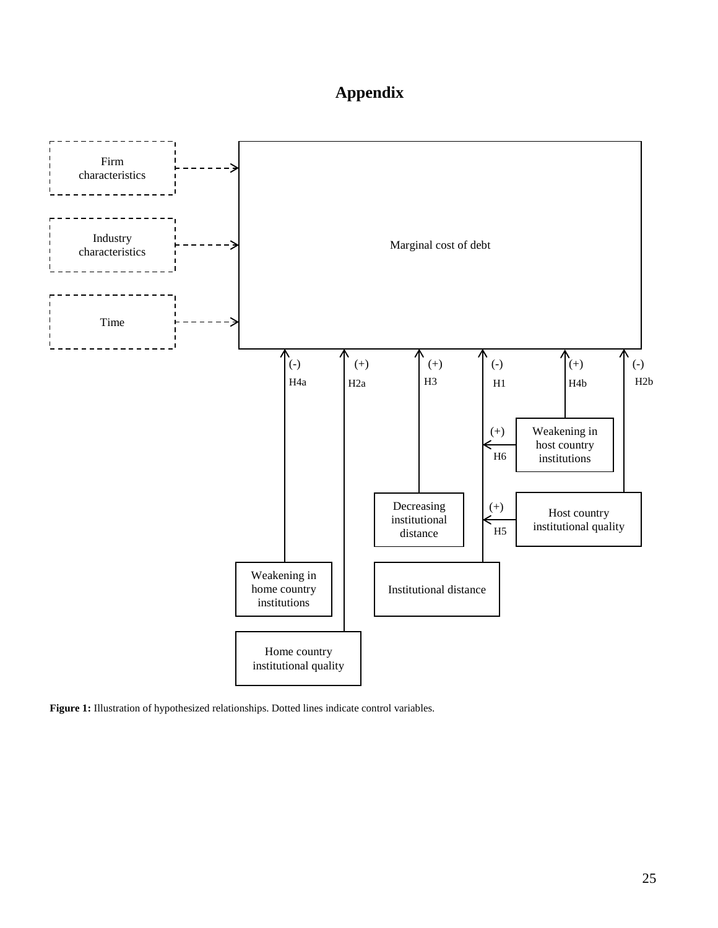# **Appendix**



<span id="page-25-0"></span>**Figure 1:** Illustration of hypothesized relationships. Dotted lines indicate control variables.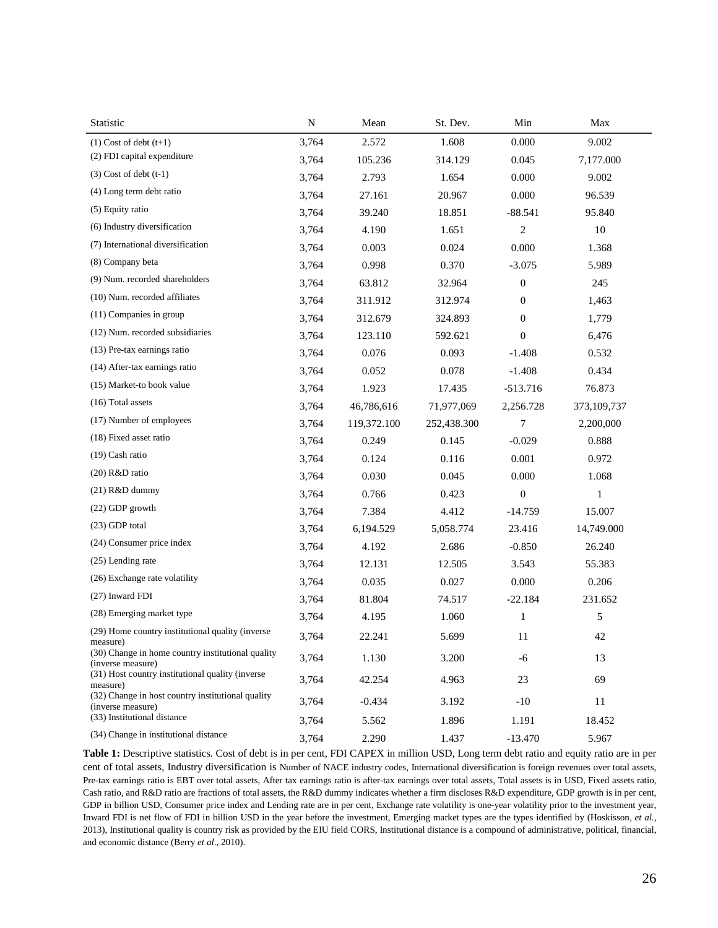| Statistic                                                              | ${\bf N}$ | Mean           | St. Dev.    | Min              | Max          |  |  |
|------------------------------------------------------------------------|-----------|----------------|-------------|------------------|--------------|--|--|
| $(1)$ Cost of debt $(t+1)$                                             | 3,764     | 2.572          | 1.608       | 0.000            | 9.002        |  |  |
| (2) FDI capital expenditure                                            | 3,764     | 105.236        | 314.129     | 0.045            | 7,177.000    |  |  |
| $(3)$ Cost of debt $(t-1)$                                             | 3,764     | 2.793          | 1.654       | 0.000            | 9.002        |  |  |
| (4) Long term debt ratio                                               | 3,764     | 27.161         | 20.967      | 0.000            | 96.539       |  |  |
| (5) Equity ratio                                                       | 3,764     | 39.240         | 18.851      | $-88.541$        | 95.840       |  |  |
| (6) Industry diversification                                           | 3,764     | 1.651<br>4.190 |             | $\overline{2}$   | 10           |  |  |
| (7) International diversification                                      | 3,764     | 0.003          | 0.024       | 0.000            | 1.368        |  |  |
| (8) Company beta                                                       | 3,764     | 0.998<br>0.370 |             | $-3.075$         | 5.989        |  |  |
| (9) Num. recorded shareholders                                         | 3,764     | 63.812         | 32.964      |                  | 245          |  |  |
| (10) Num. recorded affiliates                                          | 3,764     | 311.912        | 312.974     |                  | 1,463        |  |  |
| (11) Companies in group                                                | 3,764     | 312.679        | 324.893     | $\boldsymbol{0}$ | 1,779        |  |  |
| (12) Num. recorded subsidiaries                                        | 3,764     | 123.110        | 592.621     | $\overline{0}$   | 6,476        |  |  |
| (13) Pre-tax earnings ratio                                            | 3,764     | 0.076          | 0.093       | $-1.408$         | 0.532        |  |  |
| (14) After-tax earnings ratio                                          | 3,764     | 0.052          | 0.078       | $-1.408$         | 0.434        |  |  |
| (15) Market-to book value                                              | 3,764     | 1.923          | 17.435      | $-513.716$       | 76.873       |  |  |
| (16) Total assets                                                      | 3,764     | 46,786,616     | 71,977,069  | 2,256.728        | 373,109,737  |  |  |
| (17) Number of employees                                               | 3,764     | 119,372.100    | 252,438.300 | 7                | 2,200,000    |  |  |
| (18) Fixed asset ratio                                                 | 3,764     | 0.249          | 0.145       | $-0.029$         | 0.888        |  |  |
| (19) Cash ratio                                                        | 3,764     | 0.124          | 0.116       | 0.001            | 0.972        |  |  |
| (20) R&D ratio                                                         | 3,764     | 0.030          | 0.045       | 0.000            | 1.068        |  |  |
| $(21)$ R&D dummy                                                       | 3,764     | 0.766          | 0.423       | $\boldsymbol{0}$ | $\mathbf{1}$ |  |  |
| (22) GDP growth                                                        | 3,764     | 7.384          | 4.412       | $-14.759$        | 15.007       |  |  |
| (23) GDP total                                                         | 3,764     | 6,194.529      | 5,058.774   | 23.416           | 14,749.000   |  |  |
| (24) Consumer price index                                              | 3,764     | 4.192          | 2.686       | $-0.850$         | 26.240       |  |  |
| (25) Lending rate                                                      | 3,764     | 12.131         | 12.505      | 3.543            | 55.383       |  |  |
| (26) Exchange rate volatility                                          | 3,764     | 0.035          | 0.027       | 0.000            | 0.206        |  |  |
| (27) Inward FDI                                                        | 3,764     | 81.804         | 74.517      | $-22.184$        | 231.652      |  |  |
| (28) Emerging market type                                              | 3,764     | 4.195          | 1.060       | $\mathbf{1}$     | 5            |  |  |
| (29) Home country institutional quality (inverse<br>measure)           | 3,764     | 22.241         | 5.699       | 11               | 42           |  |  |
| (30) Change in home country institutional quality<br>(inverse measure) | 3,764     | 1.130          | 3.200       | -6               | 13           |  |  |
| (31) Host country institutional quality (inverse<br>measure)           | 3,764     | 42.254         | 4.963       | 23               | 69           |  |  |
| (32) Change in host country institutional quality<br>(inverse measure) | 3,764     | $-0.434$       | 3.192       | $-10$            | 11           |  |  |
| (33) Institutional distance                                            | 3,764     | 5.562          | 1.896       | 1.191            | 18.452       |  |  |
| (34) Change in institutional distance                                  | 3,764     | 2.290          | 1.437       | $-13.470$        | 5.967        |  |  |

Table 1: Descriptive statistics. Cost of debt is in per cent, FDI CAPEX in million USD, Long term debt ratio and equity ratio are in per cent of total assets, Industry diversification is Number of NACE industry codes, International diversification is foreign revenues over total assets, Pre-tax earnings ratio is EBT over total assets, After tax earnings ratio is after-tax earnings over total assets, Total assets is in USD, Fixed assets ratio, Cash ratio, and R&D ratio are fractions of total assets, the R&D dummy indicates whether a firm discloses R&D expenditure, GDP growth is in per cent, GDP in billion USD, Consumer price index and Lending rate are in per cent, Exchange rate volatility is one-year volatility prior to the investment year, Inward FDI is net flow of FDI in billion USD in the year before the investment, Emerging market types are the types identified by (Hoskisson*, et al.*, 2013), Institutional quality is country risk as provided by the EIU field CORS, Institutional distance is a compound of administrative, political, financial, and economic distance (Berry *et al*., 2010).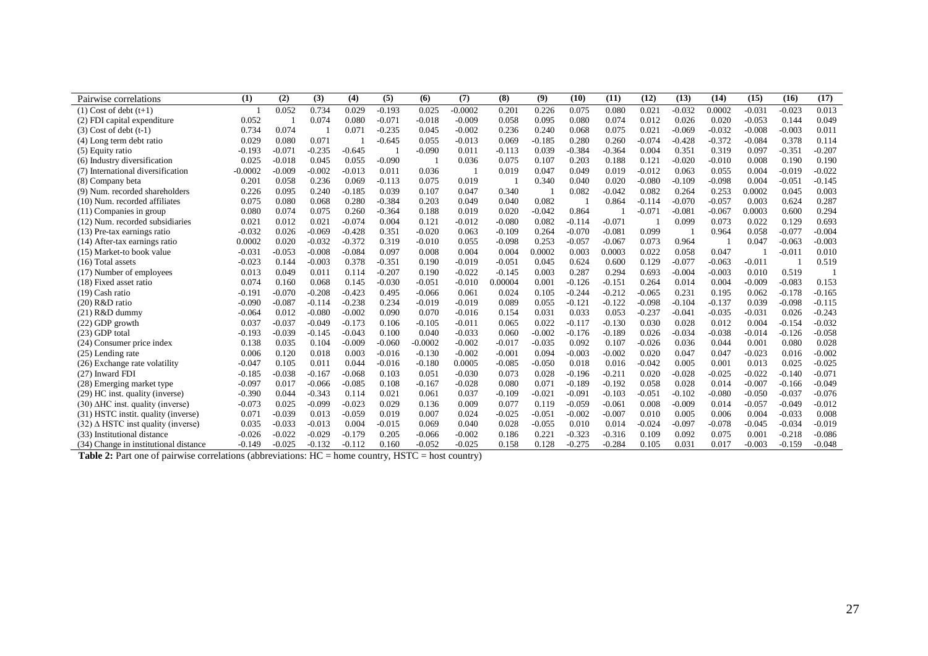| Pairwise correlations                          | (1)       | (2)      | (3)      | (4)      | (5)      | (6)       | (7)       | (8)      | (9)      | (10)     | (11)     | (12)     | (13)     | (14)     | (15)     | (16)     | (17)     |
|------------------------------------------------|-----------|----------|----------|----------|----------|-----------|-----------|----------|----------|----------|----------|----------|----------|----------|----------|----------|----------|
| $(1)$ Cost of debt $(t+1)$                     |           | 0.052    | 0.734    | 0.029    | $-0.193$ | 0.025     | $-0.0002$ | 0.201    | 0.226    | 0.075    | 0.080    | 0.021    | $-0.032$ | 0.0002   | $-0.031$ | $-0.023$ | 0.013    |
| (2) FDI capital expenditure                    | 0.052     |          | 0.074    | 0.080    | $-0.071$ | $-0.018$  | $-0.009$  | 0.058    | 0.095    | 0.080    | 0.074    | 0.012    | 0.026    | 0.020    | $-0.053$ | 0.144    | 0.049    |
| $(3)$ Cost of debt $(t-1)$                     | 0.734     | 0.074    |          | 0.071    | $-0.235$ | 0.045     | $-0.002$  | 0.236    | 0.240    | 0.068    | 0.075    | 0.021    | $-0.069$ | $-0.032$ | $-0.008$ | $-0.003$ | 0.011    |
| (4) Long term debt ratio                       | 0.029     | 0.080    | 0.071    |          | $-0.645$ | 0.055     | $-0.013$  | 0.069    | $-0.185$ | 0.280    | 0.260    | $-0.074$ | $-0.428$ | $-0.372$ | $-0.084$ | 0.378    | 0.114    |
| $(5)$ Equity ratio                             | $-0.193$  | $-0.071$ | $-0.235$ | $-0.645$ |          | $-0.090$  | 0.011     | $-0.113$ | 0.039    | $-0.384$ | $-0.364$ | 0.004    | 0.351    | 0.319    | 0.097    | $-0.351$ | $-0.207$ |
| (6) Industry diversification                   | 0.025     | $-0.018$ | 0.045    | 0.055    | $-0.090$ |           | 0.036     | 0.075    | 0.107    | 0.203    | 0.188    | 0.121    | $-0.020$ | $-0.010$ | 0.008    | 0.190    | 0.190    |
| (7) International diversification              | $-0.0002$ | $-0.009$ | $-0.002$ | $-0.013$ | 0.011    | 0.036     |           | 0.019    | 0.047    | 0.049    | 0.019    | $-0.012$ | 0.063    | 0.055    | 0.004    | $-0.019$ | $-0.022$ |
| (8) Company beta                               | 0.201     | 0.058    | 0.236    | 0.069    | -0.113   | 0.075     | 0.019     |          | 0.340    | 0.040    | 0.020    | $-0.080$ | $-0.109$ | $-0.098$ | 0.004    | $-0.051$ | $-0.145$ |
| (9) Num. recorded shareholders                 | 0.226     | 0.095    | 0.240    | $-0.185$ | 0.039    | 0.107     | 0.047     | 0.340    |          | 0.082    | $-0.042$ | 0.082    | 0.264    | 0.253    | 0.0002   | 0.045    | 0.003    |
| (10) Num. recorded affiliates                  | 0.075     | 0.080    | 0.068    | 0.280    | $-0.384$ | 0.203     | 0.049     | 0.040    | 0.082    |          | 0.864    | $-0.114$ | $-0.070$ | $-0.057$ | 0.003    | 0.624    | 0.287    |
| $(11)$ Companies in group                      | 0.080     | 0.074    | 0.075    | 0.260    | $-0.364$ | 0.188     | 0.019     | 0.020    | $-0.042$ | 0.864    |          | $-0.071$ | $-0.081$ | $-0.067$ | 0.0003   | 0.600    | 0.294    |
| (12) Num. recorded subsidiaries                | 0.021     | 0.012    | 0.021    | $-0.074$ | 0.004    | 0.121     | $-0.012$  | $-0.080$ | 0.082    | $-0.114$ | $-0.071$ |          | 0.099    | 0.073    | 0.022    | 0.129    | 0.693    |
| (13) Pre-tax earnings ratio                    | $-0.032$  | 0.026    | $-0.069$ | $-0.428$ | 0.351    | $-0.020$  | 0.063     | $-0.109$ | 0.264    | $-0.070$ | $-0.081$ | 0.099    |          | 0.964    | 0.058    | $-0.077$ | $-0.004$ |
| (14) After-tax earnings ratio                  | 0.0002    | 0.020    | $-0.032$ | $-0.372$ | 0.319    | $-0.010$  | 0.055     | $-0.098$ | 0.253    | $-0.057$ | $-0.067$ | 0.073    | 0.964    |          | 0.047    | $-0.063$ | $-0.003$ |
| (15) Market-to book value                      | $-0.031$  | $-0.053$ | $-0.008$ | $-0.084$ | 0.097    | 0.008     | 0.004     | 0.004    | 0.0002   | 0.003    | 0.0003   | 0.022    | 0.058    | 0.047    |          | $-0.011$ | 0.010    |
| (16) Total assets                              | $-0.023$  | 0.144    | $-0.003$ | 0.378    | $-0.351$ | 0.190     | $-0.019$  | $-0.051$ | 0.045    | 0.624    | 0.600    | 0.129    | $-0.077$ | $-0.063$ | $-0.011$ |          | 0.519    |
| (17) Number of employees                       | 0.013     | 0.049    | 0.011    | 0.114    | $-0.207$ | 0.190     | $-0.022$  | $-0.145$ | 0.003    | 0.287    | 0.294    | 0.693    | $-0.004$ | $-0.003$ | 0.010    | 0.519    |          |
| (18) Fixed asset ratio                         | 0.074     | 0.160    | 0.068    | 0.145    | $-0.030$ | $-0.051$  | $-0.010$  | 0.00004  | 0.001    | $-0.126$ | $-0.151$ | 0.264    | 0.014    | 0.004    | $-0.009$ | $-0.083$ | 0.153    |
| $(19)$ Cash ratio                              | $-0.191$  | $-0.070$ | $-0.208$ | $-0.423$ | 0.495    | $-0.066$  | 0.061     | 0.024    | 0.105    | $-0.244$ | $-0.212$ | $-0.065$ | 0.231    | 0.195    | 0.062    | $-0.178$ | $-0.165$ |
| (20) R&D ratio                                 | $-0.090$  | $-0.087$ | $-0.114$ | $-0.238$ | 0.234    | $-0.019$  | $-0.019$  | 0.089    | 0.055    | $-0.121$ | $-0.122$ | $-0.098$ | $-0.104$ | $-0.137$ | 0.039    | $-0.098$ | $-0.115$ |
| $(21)$ R&D dummy                               | $-0.064$  | 0.012    | $-0.080$ | $-0.002$ | 0.090    | 0.070     | $-0.016$  | 0.154    | 0.031    | 0.033    | 0.053    | $-0.237$ | $-0.041$ | $-0.035$ | $-0.031$ | 0.026    | $-0.243$ |
| $(22)$ GDP growth                              | 0.037     | $-0.037$ | $-0.049$ | $-0.173$ | 0.106    | $-0.105$  | $-0.011$  | 0.065    | 0.022    | $-0.117$ | $-0.130$ | 0.030    | 0.028    | 0.012    | 0.004    | $-0.154$ | $-0.032$ |
| $(23)$ GDP total                               | $-0.193$  | $-0.039$ | $-0.145$ | $-0.043$ | 0.100    | 0.040     | $-0.033$  | 0.060    | $-0.002$ | $-0.176$ | $-0.189$ | 0.026    | $-0.034$ | $-0.038$ | $-0.014$ | $-0.126$ | $-0.058$ |
| (24) Consumer price index                      | 0.138     | 0.035    | 0.104    | $-0.009$ | $-0.060$ | $-0.0002$ | $-0.002$  | $-0.017$ | $-0.035$ | 0.092    | 0.107    | $-0.026$ | 0.036    | 0.044    | 0.001    | 0.080    | 0.028    |
| $(25)$ Lending rate                            | 0.006     | 0.120    | 0.018    | 0.003    | -0.016   | $-0.130$  | $-0.002$  | $-0.001$ | 0.094    | $-0.003$ | $-0.002$ | 0.020    | 0.047    | 0.047    | $-0.023$ | 0.016    | $-0.002$ |
| (26) Exchange rate volatility                  | $-0.047$  | 0.105    | 0.011    | 0.044    | $-0.016$ | $-0.180$  | 0.0005    | $-0.085$ | $-0.050$ | 0.018    | 0.016    | $-0.042$ | 0.005    | 0.001    | 0.013    | 0.025    | $-0.025$ |
| (27) Inward FDI                                | $-0.185$  | $-0.038$ | $-0.167$ | $-0.068$ | 0.103    | 0.051     | $-0.030$  | 0.073    | 0.028    | $-0.196$ | $-0.211$ | 0.020    | $-0.028$ | $-0.025$ | $-0.022$ | $-0.140$ | $-0.071$ |
| (28) Emerging market type                      | $-0.097$  | 0.017    | $-0.066$ | $-0.085$ | 0.108    | $-0.167$  | $-0.028$  | 0.080    | 0.071    | $-0.189$ | $-0.192$ | 0.058    | 0.028    | 0.014    | $-0.007$ | $-0.166$ | $-0.049$ |
| (29) HC inst. quality (inverse)                | $-0.390$  | 0.044    | $-0.343$ | 0.114    | 0.021    | 0.061     | 0.037     | $-0.109$ | $-0.021$ | $-0.091$ | $-0.103$ | $-0.051$ | $-0.102$ | $-0.080$ | $-0.050$ | $-0.037$ | $-0.076$ |
| $(30)$ $\triangle$ HC inst. quality (inverse)  | $-0.073$  | 0.025    | $-0.099$ | $-0.023$ | 0.029    | 0.136     | 0.009     | 0.077    | 0.119    | $-0.059$ | $-0.061$ | 0.008    | $-0.009$ | 0.014    | $-0.057$ | $-0.049$ | $-0.012$ |
| (31) HSTC instit. quality (inverse)            | 0.071     | $-0.039$ | 0.013    | $-0.059$ | 0.019    | 0.007     | 0.024     | $-0.025$ | $-0.051$ | $-0.002$ | $-0.007$ | 0.010    | 0.005    | 0.006    | 0.004    | $-0.033$ | 0.008    |
| $(32)$ $\triangle$ HSTC inst quality (inverse) | 0.035     | $-0.033$ | $-0.013$ | 0.004    | -0.015   | 0.069     | 0.040     | 0.028    | $-0.055$ | 0.010    | 0.014    | $-0.024$ | $-0.097$ | $-0.078$ | $-0.045$ | $-0.034$ | $-0.019$ |
| (33) Institutional distance                    | $-0.026$  | $-0.022$ | $-0.029$ | $-0.179$ | 0.205    | $-0.066$  | $-0.002$  | 0.186    | 0.221    | $-0.323$ | $-0.316$ | 0.109    | 0.092    | 0.075    | 0.001    | $-0.218$ | $-0.086$ |
| (34) Change in institutional distance          | $-0.149$  | $-0.025$ | $-0.132$ | $-0.112$ | 0.160    | $-0.052$  | $-0.025$  | 0.158    | 0.128    | $-0.275$ | $-0.284$ | 0.105    | 0.031    | 0.017    | $-0.003$ | $-0.159$ | $-0.048$ |

**Table 2:** Part one of pairwise correlations (abbreviations: HC = home country, HSTC = host country)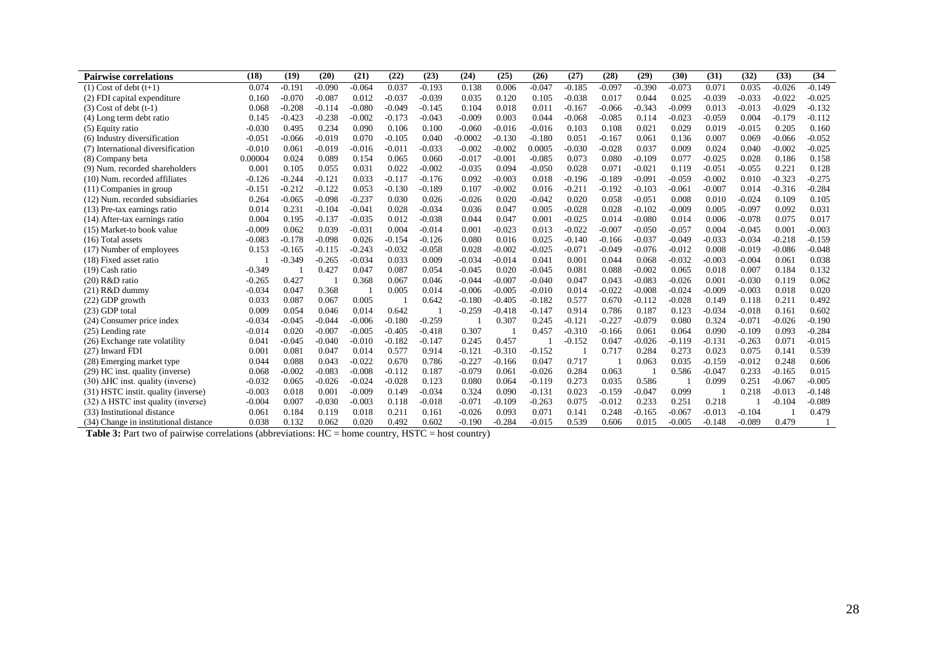| <b>Pairwise correlations</b>                   | (18)     | (19)     | (20)     | (21)     | (22)     | (23)     | (24)      | (25)     | (26)     | (27)     | (28)     | (29)     | (30)     | (31)     | (32)     | (33)     | (34)     |
|------------------------------------------------|----------|----------|----------|----------|----------|----------|-----------|----------|----------|----------|----------|----------|----------|----------|----------|----------|----------|
| $(1)$ Cost of debt $(t+1)$                     | 0.074    | $-0.191$ | $-0.090$ | $-0.064$ | 0.037    | $-0.193$ | 0.138     | 0.006    | $-0.047$ | $-0.185$ | $-0.097$ | $-0.390$ | $-0.073$ | 0.071    | 0.035    | $-0.026$ | $-0.149$ |
| (2) FDI capital expenditure                    | 0.160    | $-0.070$ | $-0.087$ | 0.012    | $-0.037$ | $-0.039$ | 0.035     | 0.120    | 0.105    | $-0.038$ | 0.017    | 0.044    | 0.025    | $-0.039$ | $-0.033$ | $-0.022$ | $-0.025$ |
| $(3)$ Cost of debt $(t-1)$                     | 0.068    | $-0.208$ | $-0.114$ | $-0.080$ | $-0.049$ | $-0.145$ | 0.104     | 0.018    | 0.011    | $-0.167$ | $-0.066$ | $-0.343$ | $-0.099$ | 0.013    | $-0.013$ | $-0.029$ | $-0.132$ |
| (4) Long term debt ratio                       | 0.145    | $-0.423$ | $-0.238$ | $-0.002$ | $-0.173$ | $-0.043$ | $-0.009$  | 0.003    | 0.044    | $-0.068$ | $-0.085$ | 0.114    | $-0.023$ | $-0.059$ | 0.004    | $-0.179$ | $-0.112$ |
| (5) Equity ratio                               | $-0.030$ | 0.495    | 0.234    | 0.090    | 0.106    | 0.100    | $-0.060$  | $-0.016$ | $-0.016$ | 0.103    | 0.108    | 0.021    | 0.029    | 0.019    | $-0.015$ | 0.205    | 0.160    |
| (6) Industry diversification                   | $-0.051$ | $-0.066$ | $-0.019$ | 0.070    | $-0.105$ | 0.040    | $-0.0002$ | $-0.130$ | $-0.180$ | 0.051    | $-0.167$ | 0.061    | 0.136    | 0.007    | 0.069    | $-0.066$ | $-0.052$ |
| (7) International diversification              | $-0.010$ | 0.061    | $-0.019$ | $-0.016$ | $-0.011$ | $-0.033$ | $-0.002$  | $-0.002$ | 0.0005   | $-0.030$ | $-0.028$ | 0.037    | 0.009    | 0.024    | 0.040    | $-0.002$ | $-0.025$ |
| (8) Company beta                               | 0.00004  | 0.024    | 0.089    | 0.154    | 0.065    | 0.060    | $-0.017$  | $-0.001$ | $-0.085$ | 0.073    | 0.080    | $-0.109$ | 0.077    | $-0.025$ | 0.028    | 0.186    | 0.158    |
| (9) Num. recorded shareholders                 | 0.001    | 0.105    | 0.055    | 0.031    | 0.022    | $-0.002$ | $-0.035$  | 0.094    | $-0.050$ | 0.028    | 0.071    | $-0.021$ | 0.119    | $-0.051$ | $-0.055$ | 0.221    | 0.128    |
| (10) Num. recorded affiliates                  | $-0.126$ | $-0.244$ | $-0.121$ | 0.033    | $-0.117$ | $-0.176$ | 0.092     | $-0.003$ | 0.018    | $-0.196$ | $-0.189$ | $-0.091$ | $-0.059$ | $-0.002$ | 0.010    | $-0.323$ | $-0.275$ |
| $(11)$ Companies in group                      | $-0.151$ | $-0.212$ | $-0.122$ | 0.053    | $-0.130$ | $-0.189$ | 0.107     | $-0.002$ | 0.016    | $-0.211$ | $-0.192$ | $-0.103$ | $-0.061$ | $-0.007$ | 0.014    | $-0.316$ | $-0.284$ |
| (12) Num. recorded subsidiaries                | 0.264    | $-0.065$ | $-0.098$ | $-0.237$ | 0.030    | 0.026    | $-0.026$  | 0.020    | $-0.042$ | 0.020    | 0.058    | $-0.051$ | 0.008    | 0.010    | $-0.024$ | 0.109    | 0.105    |
| (13) Pre-tax earnings ratio                    | 0.014    | 0.231    | $-0.104$ | $-0.041$ | 0.028    | $-0.034$ | 0.036     | 0.047    | 0.005    | $-0.028$ | 0.028    | $-0.102$ | $-0.009$ | 0.005    | $-0.097$ | 0.092    | 0.031    |
| (14) After-tax earnings ratio                  | 0.004    | 0.195    | $-0.137$ | $-0.035$ | 0.012    | $-0.038$ | 0.044     | 0.047    | 0.001    | $-0.025$ | 0.014    | $-0.080$ | 0.014    | 0.006    | $-0.078$ | 0.075    | 0.017    |
| (15) Market-to book value                      | $-0.009$ | 0.062    | 0.039    | $-0.031$ | 0.004    | $-0.014$ | 0.001     | $-0.023$ | 0.013    | $-0.022$ | $-0.007$ | $-0.050$ | $-0.057$ | 0.004    | $-0.045$ | 0.001    | $-0.003$ |
| $(16)$ Total assets                            | $-0.083$ | $-0.178$ | $-0.098$ | 0.026    | $-0.154$ | $-0.126$ | 0.080     | 0.016    | 0.025    | $-0.140$ | $-0.166$ | $-0.037$ | $-0.049$ | $-0.033$ | $-0.034$ | $-0.218$ | $-0.159$ |
| (17) Number of employees                       | 0.153    | $-0.165$ | $-0.115$ | $-0.243$ | $-0.032$ | $-0.058$ | 0.028     | $-0.002$ | $-0.025$ | $-0.071$ | $-0.049$ | $-0.076$ | $-0.012$ | 0.008    | $-0.019$ | $-0.086$ | $-0.048$ |
| (18) Fixed asset ratio                         |          | $-0.349$ | $-0.265$ | $-0.034$ | 0.033    | 0.009    | $-0.034$  | $-0.014$ | 0.041    | 0.001    | 0.044    | 0.068    | $-0.032$ | $-0.003$ | $-0.004$ | 0.061    | 0.038    |
| $(19)$ Cash ratio                              | $-0.349$ |          | 0.427    | 0.047    | 0.087    | 0.054    | $-0.045$  | 0.020    | $-0.045$ | 0.081    | 0.088    | $-0.002$ | 0.065    | 0.018    | 0.007    | 0.184    | 0.132    |
| $(20)$ R&D ratio                               | $-0.265$ | 0.427    |          | 0.368    | 0.067    | 0.046    | $-0.044$  | $-0.007$ | $-0.040$ | 0.047    | 0.043    | $-0.083$ | $-0.026$ | 0.001    | $-0.030$ | 0.119    | 0.062    |
| $(21)$ R&D dummy                               | $-0.034$ | 0.047    | 0.368    |          | 0.005    | 0.014    | $-0.006$  | $-0.005$ | $-0.010$ | 0.014    | $-0.022$ | $-0.008$ | $-0.024$ | $-0.009$ | $-0.003$ | 0.018    | 0.020    |
| (22) GDP growth                                | 0.033    | 0.087    | 0.067    | 0.005    |          | 0.642    | $-0.180$  | $-0.405$ | $-0.182$ | 0.577    | 0.670    | $-0.112$ | $-0.028$ | 0.149    | 0.118    | 0.211    | 0.492    |
| $(23)$ GDP total                               | 0.009    | 0.054    | 0.046    | 0.014    | 0.642    |          | $-0.259$  | $-0.418$ | $-0.147$ | 0.914    | 0.786    | 0.187    | 0.123    | $-0.034$ | $-0.018$ | 0.161    | 0.602    |
| (24) Consumer price index                      | $-0.034$ | $-0.045$ | $-0.044$ | $-0.006$ | $-0.180$ | $-0.259$ |           | 0.307    | 0.245    | $-0.121$ | $-0.227$ | $-0.079$ | 0.080    | 0.324    | $-0.071$ | $-0.026$ | $-0.190$ |
| (25) Lending rate                              | $-0.014$ | 0.020    | $-0.007$ | $-0.005$ | $-0.405$ | $-0.418$ | 0.307     |          | 0.457    | $-0.310$ | $-0.166$ | 0.061    | 0.064    | 0.090    | $-0.109$ | 0.093    | $-0.284$ |
| (26) Exchange rate volatility                  | 0.041    | $-0.045$ | $-0.040$ | $-0.010$ | $-0.182$ | $-0.147$ | 0.245     | 0.457    |          | $-0.152$ | 0.047    | $-0.026$ | $-0.119$ | $-0.131$ | $-0.263$ | 0.071    | $-0.015$ |
| (27) Inward FDI                                | 0.001    | 0.081    | 0.047    | 0.014    | 0.577    | 0.914    | $-0.121$  | $-0.310$ | $-0.152$ |          | 0.717    | 0.284    | 0.273    | 0.023    | 0.075    | 0.141    | 0.539    |
| (28) Emerging market type                      | 0.044    | 0.088    | 0.043    | $-0.022$ | 0.670    | 0.786    | $-0.227$  | $-0.166$ | 0.047    | 0.717    |          | 0.063    | 0.035    | $-0.159$ | $-0.012$ | 0.248    | 0.606    |
| (29) HC inst. quality (inverse)                | 0.068    | $-0.002$ | $-0.083$ | $-0.008$ | $-0.112$ | 0.187    | $-0.079$  | 0.061    | $-0.026$ | 0.284    | 0.063    |          | 0.586    | $-0.047$ | 0.233    | $-0.165$ | 0.015    |
| $(30)$ $\triangle$ HC inst. quality (inverse)  | $-0.032$ | 0.065    | $-0.026$ | $-0.024$ | $-0.028$ | 0.123    | 0.080     | 0.064    | $-0.119$ | 0.273    | 0.035    | 0.586    |          | 0.099    | 0.251    | $-0.067$ | $-0.005$ |
| (31) HSTC instit. quality (inverse)            | $-0.003$ | 0.018    | 0.001    | $-0.009$ | 0.149    | $-0.034$ | 0.324     | 0.090    | $-0.131$ | 0.023    | $-0.159$ | $-0.047$ | 0.099    |          | 0.218    | $-0.013$ | $-0.148$ |
| $(32)$ $\triangle$ HSTC inst quality (inverse) | $-0.004$ | 0.007    | $-0.030$ | $-0.003$ | 0.118    | $-0.018$ | $-0.071$  | $-0.109$ | $-0.263$ | 0.075    | $-0.012$ | 0.233    | 0.251    | 0.218    |          | $-0.104$ | $-0.089$ |
| (33) Institutional distance                    | 0.061    | 0.184    | 0.119    | 0.018    | 0.211    | 0.161    | $-0.026$  | 0.093    | 0.071    | 0.141    | 0.248    | $-0.165$ | $-0.067$ | $-0.013$ | $-0.104$ |          | 0.479    |
| (34) Change in institutional distance          | 0.038    | 0.132    | 0.062    | 0.020    | 0.492    | 0.602    | $-0.190$  | $-0.284$ | $-0.015$ | 0.539    | 0.606    | 0.015    | $-0.005$ | $-0.148$ | $-0.089$ | 0.479    |          |

**Table 3:** Part two of pairwise correlations (abbreviations: HC = home country, HSTC = host country)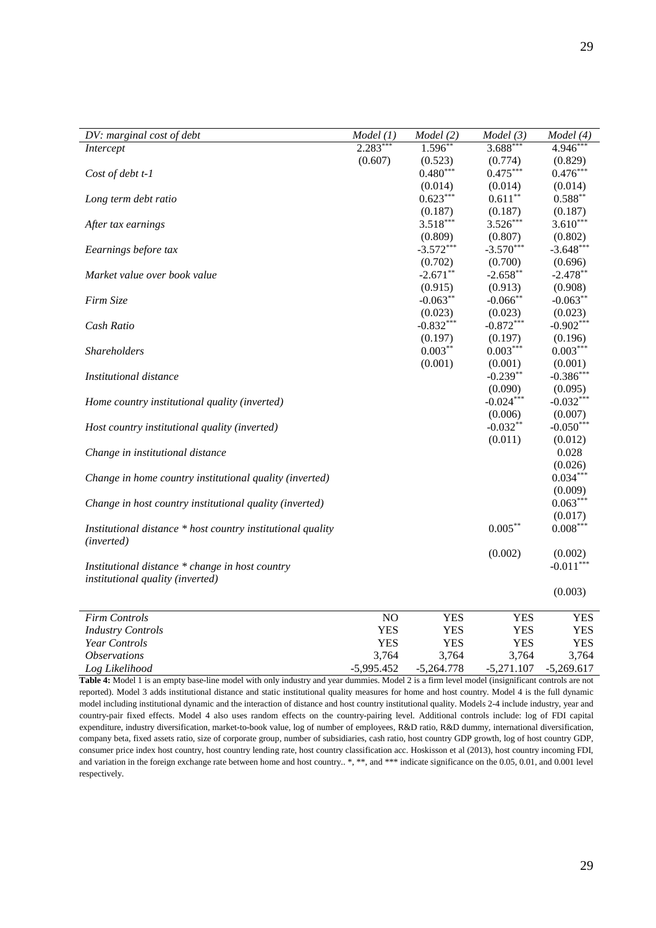| DV: marginal cost of debt                                   | Model (1)    | Model(2)     | Model(3)     | Model (4)    |
|-------------------------------------------------------------|--------------|--------------|--------------|--------------|
| Intercept                                                   | $2.283*$     | $1.596*$     | $3.688***$   | $4.946*$     |
|                                                             | (0.607)      | (0.523)      | (0.774)      | (0.829)      |
| Cost of debt t-1                                            |              | $0.480***$   | $0.475***$   | $0.476***$   |
|                                                             |              | (0.014)      | (0.014)      | (0.014)      |
| Long term debt ratio                                        |              | $0.623***$   | $0.611***$   | $0.588**$    |
|                                                             |              | (0.187)      | (0.187)      | (0.187)      |
| After tax earnings                                          |              | $3.518***$   | $3.526***$   | $3.610***$   |
|                                                             |              | (0.809)      | (0.807)      | (0.802)      |
| Eearnings before tax                                        |              | $-3.572***$  | $-3.570***$  | $-3.648***$  |
|                                                             |              | (0.702)      | (0.700)      | (0.696)      |
| Market value over book value                                |              | $-2.671$ **  | $-2.658**$   | $-2.478**$   |
|                                                             |              | (0.915)      | (0.913)      | (0.908)      |
| Firm Size                                                   |              | $-0.063**$   | $-0.066$ **  | $-0.063**$   |
|                                                             |              | (0.023)      | (0.023)      | (0.023)      |
| Cash Ratio                                                  |              | $-0.832***$  | $-0.872***$  | $-0.902***$  |
|                                                             |              | (0.197)      | (0.197)      | (0.196)      |
| <b>Shareholders</b>                                         |              | $0.003***$   | $0.003***$   | $0.003***$   |
|                                                             |              | (0.001)      | (0.001)      | (0.001)      |
| Institutional distance                                      |              |              | $-0.239**$   | $-0.386***$  |
|                                                             |              |              | (0.090)      | (0.095)      |
| Home country institutional quality (inverted)               |              |              | $-0.024***$  | $-0.032***$  |
|                                                             |              |              | (0.006)      | (0.007)      |
| Host country institutional quality (inverted)               |              |              | $-0.032**$   | $-0.050***$  |
|                                                             |              |              | (0.011)      | (0.012)      |
| Change in institutional distance                            |              |              |              | 0.028        |
|                                                             |              |              |              | (0.026)      |
| Change in home country institutional quality (inverted)     |              |              |              | $0.034***$   |
|                                                             |              |              |              | (0.009)      |
| Change in host country institutional quality (inverted)     |              |              |              | $0.063***$   |
|                                                             |              |              |              | (0.017)      |
| Institutional distance * host country institutional quality |              |              | $0.005***$   | $0.008***$   |
| (inverted)                                                  |              |              |              |              |
|                                                             |              |              | (0.002)      | (0.002)      |
| Institutional distance * change in host country             |              |              |              | $-0.011***$  |
| institutional quality (inverted)                            |              |              |              |              |
|                                                             |              |              |              | (0.003)      |
|                                                             |              |              |              |              |
| <b>Firm Controls</b>                                        | NO           | <b>YES</b>   | <b>YES</b>   | <b>YES</b>   |
| <b>Industry Controls</b>                                    | <b>YES</b>   | <b>YES</b>   | <b>YES</b>   | <b>YES</b>   |
| Year Controls                                               | <b>YES</b>   | <b>YES</b>   | <b>YES</b>   | <b>YES</b>   |
| <i><b>Observations</b></i>                                  | 3,764        | 3,764        | 3,764        | 3,764        |
| Log Likelihood                                              | $-5,995.452$ | $-5,264.778$ | $-5,271.107$ | $-5,269.617$ |
|                                                             |              |              |              |              |

**Table 4:** Model 1 is an empty base-line model with only industry and year dummies. Model 2 is a firm level model (insignificant controls are not reported). Model 3 adds institutional distance and static institutional quality measures for home and host country. Model 4 is the full dynamic model including institutional dynamic and the interaction of distance and host country institutional quality. Models 2-4 include industry, year and country-pair fixed effects. Model 4 also uses random effects on the country-pairing level. Additional controls include: log of FDI capital expenditure, industry diversification, market-to-book value, log of number of employees, R&D ratio, R&D dummy, international diversification, company beta, fixed assets ratio, size of corporate group, number of subsidiaries, cash ratio, host country GDP growth, log of host country GDP, consumer price index host country, host country lending rate, host country classification acc. Hoskisson et al (2013), host country incoming FDI, and variation in the foreign exchange rate between home and host country.. \*, \*\*, and \*\*\* indicate significance on the 0.05, 0.01, and 0.001 level respectively.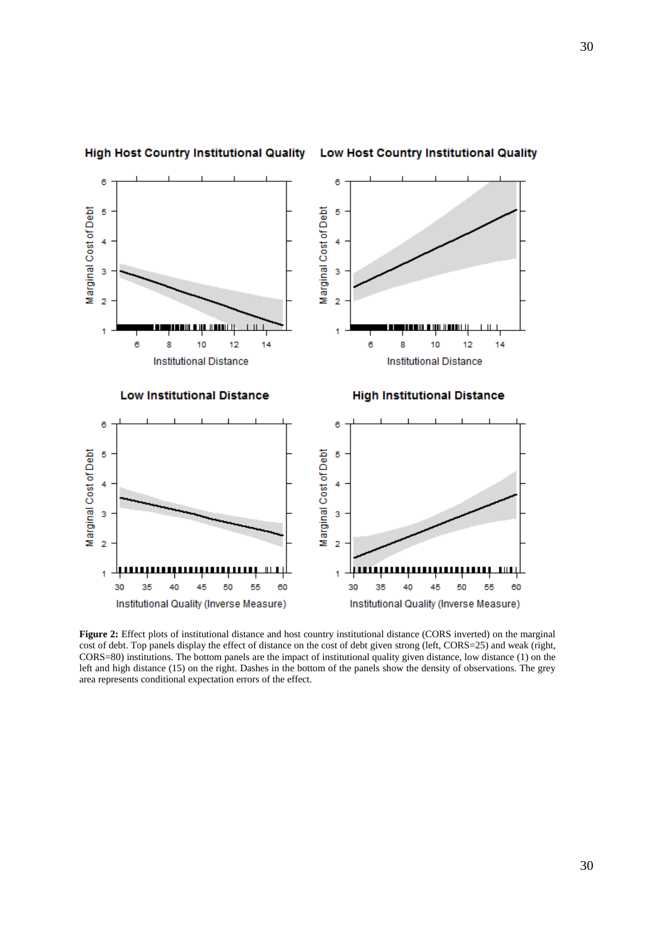



#### Low Host Country Institutional Quality

**Figure 2:** Effect plots of institutional distance and host country institutional distance (CORS inverted) on the marginal cost of debt. Top panels display the effect of distance on the cost of debt given strong (left, CORS=25) and weak (right, CORS=80) institutions. The bottom panels are the impact of institutional quality given distance, low distance (1) on the left and high distance (15) on the right. Dashes in the bottom of the panels show the density of observations. The grey area represents conditional expectation errors of the effect.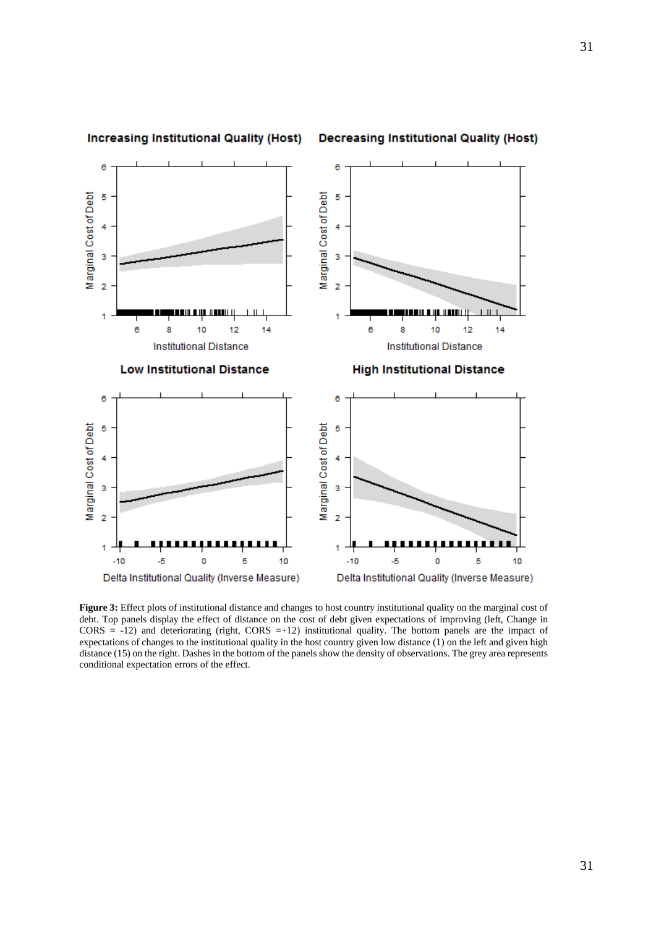

**Figure 3:** Effect plots of institutional distance and changes to host country institutional quality on the marginal cost of debt. Top panels display the effect of distance on the cost of debt given expectations of improving (left, Change in  $CORS = -12$ ) and deteriorating (right,  $CORS = +12$ ) institutional quality. The bottom panels are the impact of expectations of changes to the institutional quality in the host country given low distance (1) on the left and given high distance (15) on the right. Dashes in the bottom of the panels show the density of observations. The grey area represents conditional expectation errors of the effect.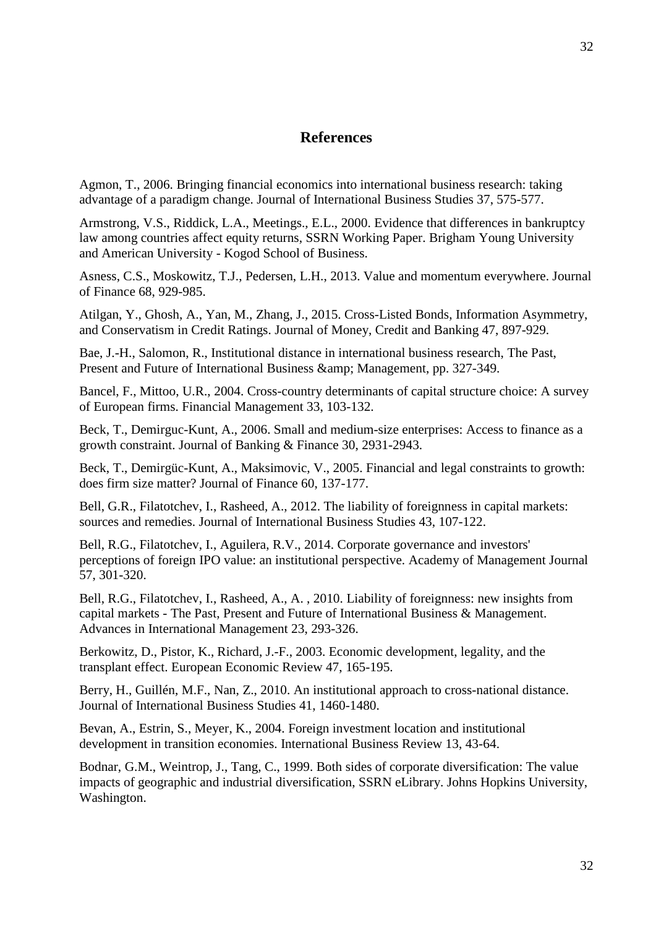# **References**

Agmon, T., 2006. Bringing financial economics into international business research: taking advantage of a paradigm change. Journal of International Business Studies 37, 575-577.

Armstrong, V.S., Riddick, L.A., Meetings., E.L., 2000. Evidence that differences in bankruptcy law among countries affect equity returns, SSRN Working Paper. Brigham Young University and American University - Kogod School of Business.

Asness, C.S., Moskowitz, T.J., Pedersen, L.H., 2013. Value and momentum everywhere. Journal of Finance 68, 929-985.

Atilgan, Y., Ghosh, A., Yan, M., Zhang, J., 2015. Cross-Listed Bonds, Information Asymmetry, and Conservatism in Credit Ratings. Journal of Money, Credit and Banking 47, 897-929.

Bae, J.-H., Salomon, R., Institutional distance in international business research, The Past, Present and Future of International Business & amp; Management, pp. 327-349.

Bancel, F., Mittoo, U.R., 2004. Cross-country determinants of capital structure choice: A survey of European firms. Financial Management 33, 103-132.

Beck, T., Demirguc-Kunt, A., 2006. Small and medium-size enterprises: Access to finance as a growth constraint. Journal of Banking & Finance 30, 2931-2943.

Beck, T., Demirgüc-Kunt, A., Maksimovic, V., 2005. Financial and legal constraints to growth: does firm size matter? Journal of Finance 60, 137-177.

Bell, G.R., Filatotchev, I., Rasheed, A., 2012. The liability of foreignness in capital markets: sources and remedies. Journal of International Business Studies 43, 107-122.

Bell, R.G., Filatotchev, I., Aguilera, R.V., 2014. Corporate governance and investors' perceptions of foreign IPO value: an institutional perspective. Academy of Management Journal 57, 301-320.

Bell, R.G., Filatotchev, I., Rasheed, A., A. , 2010. Liability of foreignness: new insights from capital markets - The Past, Present and Future of International Business & Management. Advances in International Management 23, 293-326.

Berkowitz, D., Pistor, K., Richard, J.-F., 2003. Economic development, legality, and the transplant effect. European Economic Review 47, 165-195.

Berry, H., Guillén, M.F., Nan, Z., 2010. An institutional approach to cross-national distance. Journal of International Business Studies 41, 1460-1480.

Bevan, A., Estrin, S., Meyer, K., 2004. Foreign investment location and institutional development in transition economies. International Business Review 13, 43-64.

Bodnar, G.M., Weintrop, J., Tang, C., 1999. Both sides of corporate diversification: The value impacts of geographic and industrial diversification, SSRN eLibrary. Johns Hopkins University, Washington.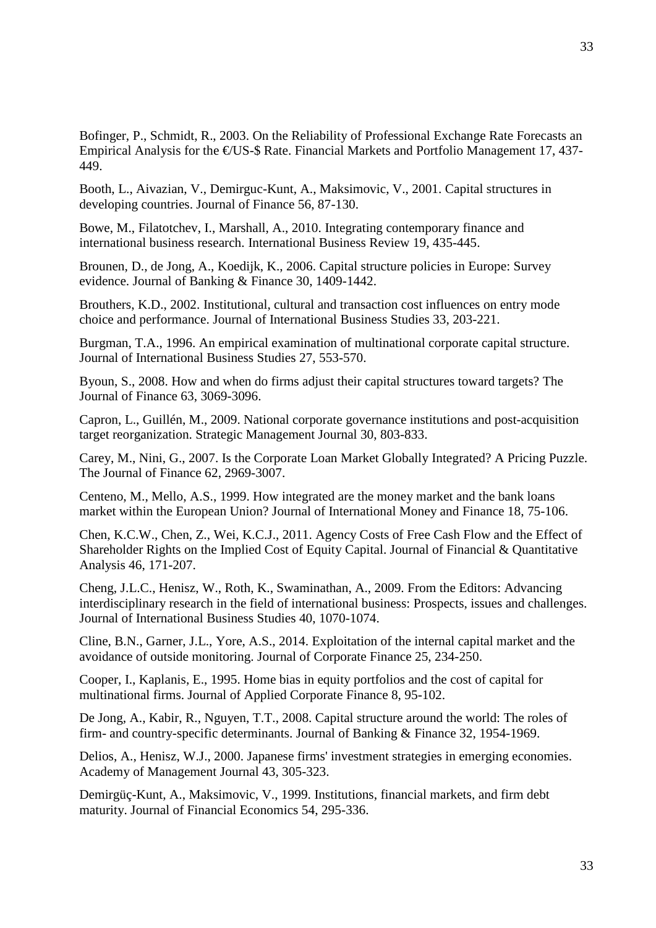Bofinger, P., Schmidt, R., 2003. On the Reliability of Professional Exchange Rate Forecasts an Empirical Analysis for the  $EUS-S$  Rate. Financial Markets and Portfolio Management 17, 437-449.

Booth, L., Aivazian, V., Demirguc-Kunt, A., Maksimovic, V., 2001. Capital structures in developing countries. Journal of Finance 56, 87-130.

Bowe, M., Filatotchev, I., Marshall, A., 2010. Integrating contemporary finance and international business research. International Business Review 19, 435-445.

Brounen, D., de Jong, A., Koedijk, K., 2006. Capital structure policies in Europe: Survey evidence. Journal of Banking & Finance 30, 1409-1442.

Brouthers, K.D., 2002. Institutional, cultural and transaction cost influences on entry mode choice and performance. Journal of International Business Studies 33, 203-221.

Burgman, T.A., 1996. An empirical examination of multinational corporate capital structure. Journal of International Business Studies 27, 553-570.

Byoun, S., 2008. How and when do firms adjust their capital structures toward targets? The Journal of Finance 63, 3069-3096.

Capron, L., Guillén, M., 2009. National corporate governance institutions and post-acquisition target reorganization. Strategic Management Journal 30, 803-833.

Carey, M., Nini, G., 2007. Is the Corporate Loan Market Globally Integrated? A Pricing Puzzle. The Journal of Finance 62, 2969-3007.

Centeno, M., Mello, A.S., 1999. How integrated are the money market and the bank loans market within the European Union? Journal of International Money and Finance 18, 75-106.

Chen, K.C.W., Chen, Z., Wei, K.C.J., 2011. Agency Costs of Free Cash Flow and the Effect of Shareholder Rights on the Implied Cost of Equity Capital. Journal of Financial & Quantitative Analysis 46, 171-207.

Cheng, J.L.C., Henisz, W., Roth, K., Swaminathan, A., 2009. From the Editors: Advancing interdisciplinary research in the field of international business: Prospects, issues and challenges. Journal of International Business Studies 40, 1070-1074.

Cline, B.N., Garner, J.L., Yore, A.S., 2014. Exploitation of the internal capital market and the avoidance of outside monitoring. Journal of Corporate Finance 25, 234-250.

Cooper, I., Kaplanis, E., 1995. Home bias in equity portfolios and the cost of capital for multinational firms. Journal of Applied Corporate Finance 8, 95-102.

De Jong, A., Kabir, R., Nguyen, T.T., 2008. Capital structure around the world: The roles of firm- and country-specific determinants. Journal of Banking & Finance 32, 1954-1969.

Delios, A., Henisz, W.J., 2000. Japanese firms' investment strategies in emerging economies. Academy of Management Journal 43, 305-323.

Demirgüç-Kunt, A., Maksimovic, V., 1999. Institutions, financial markets, and firm debt maturity. Journal of Financial Economics 54, 295-336.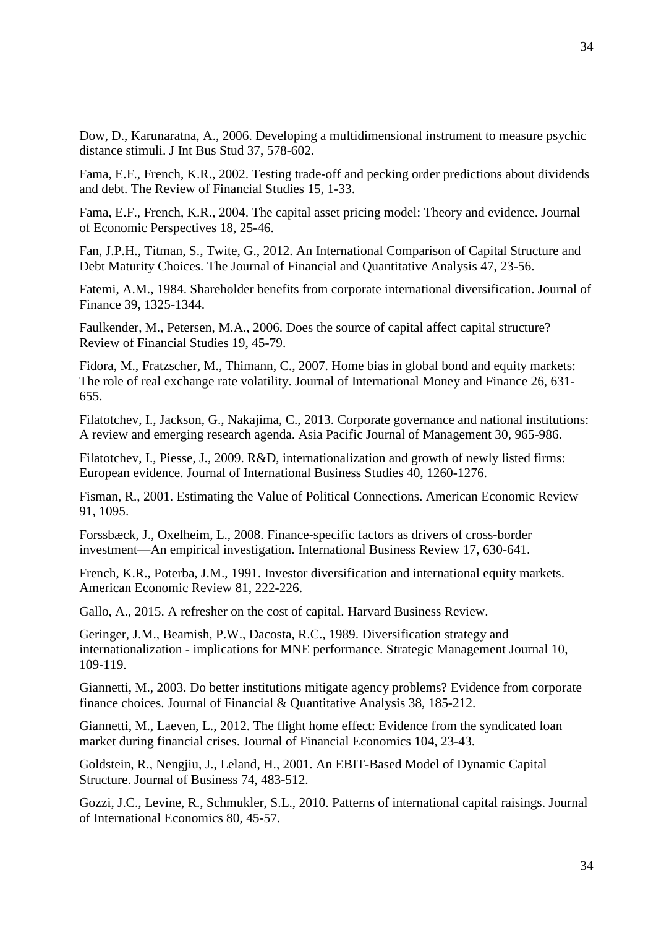Dow, D., Karunaratna, A., 2006. Developing a multidimensional instrument to measure psychic distance stimuli. J Int Bus Stud 37, 578-602.

Fama, E.F., French, K.R., 2002. Testing trade-off and pecking order predictions about dividends and debt. The Review of Financial Studies 15, 1-33.

Fama, E.F., French, K.R., 2004. The capital asset pricing model: Theory and evidence. Journal of Economic Perspectives 18, 25-46.

Fan, J.P.H., Titman, S., Twite, G., 2012. An International Comparison of Capital Structure and Debt Maturity Choices. The Journal of Financial and Quantitative Analysis 47, 23-56.

Fatemi, A.M., 1984. Shareholder benefits from corporate international diversification. Journal of Finance 39, 1325-1344.

Faulkender, M., Petersen, M.A., 2006. Does the source of capital affect capital structure? Review of Financial Studies 19, 45-79.

Fidora, M., Fratzscher, M., Thimann, C., 2007. Home bias in global bond and equity markets: The role of real exchange rate volatility. Journal of International Money and Finance 26, 631- 655.

Filatotchev, I., Jackson, G., Nakajima, C., 2013. Corporate governance and national institutions: A review and emerging research agenda. Asia Pacific Journal of Management 30, 965-986.

Filatotchev, I., Piesse, J., 2009. R&D, internationalization and growth of newly listed firms: European evidence. Journal of International Business Studies 40, 1260-1276.

Fisman, R., 2001. Estimating the Value of Political Connections. American Economic Review 91, 1095.

Forssbæck, J., Oxelheim, L., 2008. Finance-specific factors as drivers of cross-border investment—An empirical investigation. International Business Review 17, 630-641.

French, K.R., Poterba, J.M., 1991. Investor diversification and international equity markets. American Economic Review 81, 222-226.

Gallo, A., 2015. A refresher on the cost of capital. Harvard Business Review.

Geringer, J.M., Beamish, P.W., Dacosta, R.C., 1989. Diversification strategy and internationalization - implications for MNE performance. Strategic Management Journal 10, 109-119.

Giannetti, M., 2003. Do better institutions mitigate agency problems? Evidence from corporate finance choices. Journal of Financial & Quantitative Analysis 38, 185-212.

Giannetti, M., Laeven, L., 2012. The flight home effect: Evidence from the syndicated loan market during financial crises. Journal of Financial Economics 104, 23-43.

Goldstein, R., Nengjiu, J., Leland, H., 2001. An EBIT-Based Model of Dynamic Capital Structure. Journal of Business 74, 483-512.

Gozzi, J.C., Levine, R., Schmukler, S.L., 2010. Patterns of international capital raisings. Journal of International Economics 80, 45-57.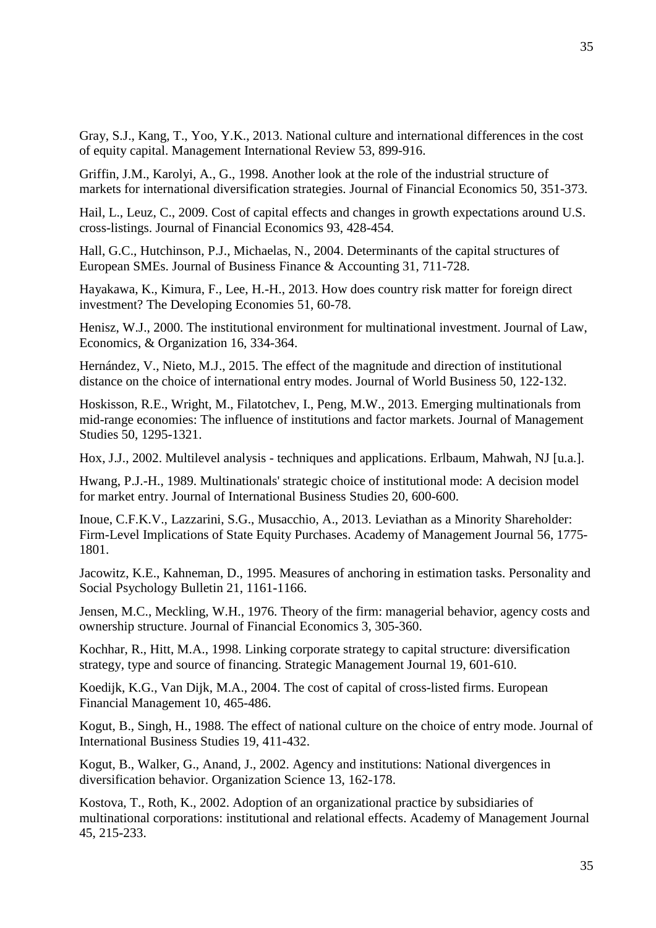Gray, S.J., Kang, T., Yoo, Y.K., 2013. National culture and international differences in the cost of equity capital. Management International Review 53, 899-916.

Griffin, J.M., Karolyi, A., G., 1998. Another look at the role of the industrial structure of markets for international diversification strategies. Journal of Financial Economics 50, 351-373.

Hail, L., Leuz, C., 2009. Cost of capital effects and changes in growth expectations around U.S. cross-listings. Journal of Financial Economics 93, 428-454.

Hall, G.C., Hutchinson, P.J., Michaelas, N., 2004. Determinants of the capital structures of European SMEs. Journal of Business Finance & Accounting 31, 711-728.

Hayakawa, K., Kimura, F., Lee, H.-H., 2013. How does country risk matter for foreign direct investment? The Developing Economies 51, 60-78.

Henisz, W.J., 2000. The institutional environment for multinational investment. Journal of Law, Economics, & Organization 16, 334-364.

Hernández, V., Nieto, M.J., 2015. The effect of the magnitude and direction of institutional distance on the choice of international entry modes. Journal of World Business 50, 122-132.

Hoskisson, R.E., Wright, M., Filatotchev, I., Peng, M.W., 2013. Emerging multinationals from mid-range economies: The influence of institutions and factor markets. Journal of Management Studies 50, 1295-1321.

Hox, J.J., 2002. Multilevel analysis - techniques and applications. Erlbaum, Mahwah, NJ [u.a.].

Hwang, P.J.-H., 1989. Multinationals' strategic choice of institutional mode: A decision model for market entry. Journal of International Business Studies 20, 600-600.

Inoue, C.F.K.V., Lazzarini, S.G., Musacchio, A., 2013. Leviathan as a Minority Shareholder: Firm-Level Implications of State Equity Purchases. Academy of Management Journal 56, 1775- 1801.

Jacowitz, K.E., Kahneman, D., 1995. Measures of anchoring in estimation tasks. Personality and Social Psychology Bulletin 21, 1161-1166.

Jensen, M.C., Meckling, W.H., 1976. Theory of the firm: managerial behavior, agency costs and ownership structure. Journal of Financial Economics 3, 305-360.

Kochhar, R., Hitt, M.A., 1998. Linking corporate strategy to capital structure: diversification strategy, type and source of financing. Strategic Management Journal 19, 601-610.

Koedijk, K.G., Van Dijk, M.A., 2004. The cost of capital of cross-listed firms. European Financial Management 10, 465-486.

Kogut, B., Singh, H., 1988. The effect of national culture on the choice of entry mode. Journal of International Business Studies 19, 411-432.

Kogut, B., Walker, G., Anand, J., 2002. Agency and institutions: National divergences in diversification behavior. Organization Science 13, 162-178.

Kostova, T., Roth, K., 2002. Adoption of an organizational practice by subsidiaries of multinational corporations: institutional and relational effects. Academy of Management Journal 45, 215-233.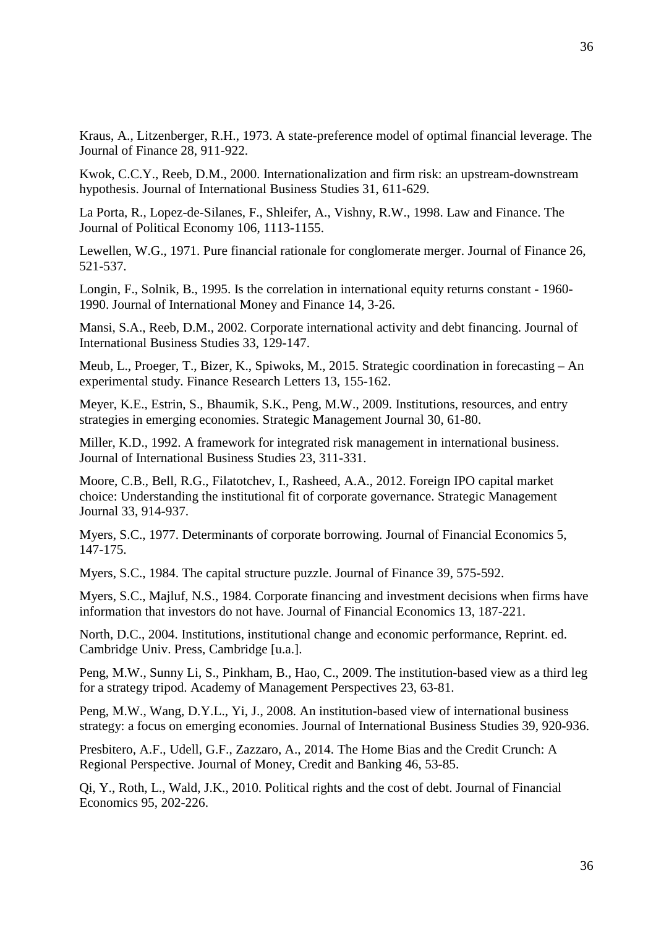Kraus, A., Litzenberger, R.H., 1973. A state-preference model of optimal financial leverage. The Journal of Finance 28, 911-922.

Kwok, C.C.Y., Reeb, D.M., 2000. Internationalization and firm risk: an upstream-downstream hypothesis. Journal of International Business Studies 31, 611-629.

La Porta, R., Lopez-de-Silanes, F., Shleifer, A., Vishny, R.W., 1998. Law and Finance. The Journal of Political Economy 106, 1113-1155.

Lewellen, W.G., 1971. Pure financial rationale for conglomerate merger. Journal of Finance 26, 521-537.

Longin, F., Solnik, B., 1995. Is the correlation in international equity returns constant - 1960- 1990. Journal of International Money and Finance 14, 3-26.

Mansi, S.A., Reeb, D.M., 2002. Corporate international activity and debt financing. Journal of International Business Studies 33, 129-147.

Meub, L., Proeger, T., Bizer, K., Spiwoks, M., 2015. Strategic coordination in forecasting – An experimental study. Finance Research Letters 13, 155-162.

Meyer, K.E., Estrin, S., Bhaumik, S.K., Peng, M.W., 2009. Institutions, resources, and entry strategies in emerging economies. Strategic Management Journal 30, 61-80.

Miller, K.D., 1992. A framework for integrated risk management in international business. Journal of International Business Studies 23, 311-331.

Moore, C.B., Bell, R.G., Filatotchev, I., Rasheed, A.A., 2012. Foreign IPO capital market choice: Understanding the institutional fit of corporate governance. Strategic Management Journal 33, 914-937.

Myers, S.C., 1977. Determinants of corporate borrowing. Journal of Financial Economics 5, 147-175.

Myers, S.C., 1984. The capital structure puzzle. Journal of Finance 39, 575-592.

Myers, S.C., Majluf, N.S., 1984. Corporate financing and investment decisions when firms have information that investors do not have. Journal of Financial Economics 13, 187-221.

North, D.C., 2004. Institutions, institutional change and economic performance, Reprint. ed. Cambridge Univ. Press, Cambridge [u.a.].

Peng, M.W., Sunny Li, S., Pinkham, B., Hao, C., 2009. The institution-based view as a third leg for a strategy tripod. Academy of Management Perspectives 23, 63-81.

Peng, M.W., Wang, D.Y.L., Yi, J., 2008. An institution-based view of international business strategy: a focus on emerging economies. Journal of International Business Studies 39, 920-936.

Presbitero, A.F., Udell, G.F., Zazzaro, A., 2014. The Home Bias and the Credit Crunch: A Regional Perspective. Journal of Money, Credit and Banking 46, 53-85.

Qi, Y., Roth, L., Wald, J.K., 2010. Political rights and the cost of debt. Journal of Financial Economics 95, 202-226.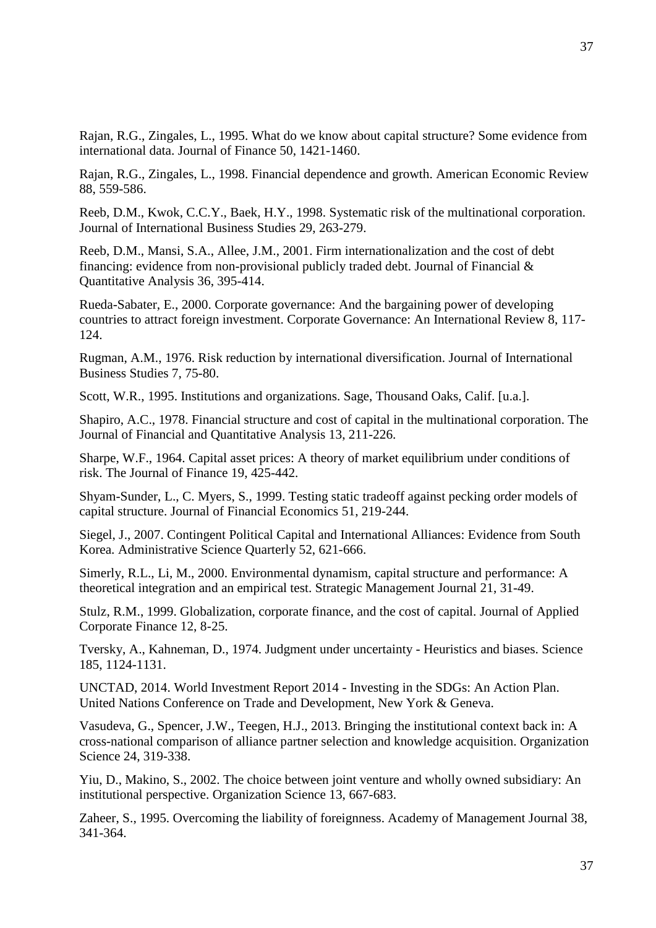Rajan, R.G., Zingales, L., 1995. What do we know about capital structure? Some evidence from international data. Journal of Finance 50, 1421-1460.

Rajan, R.G., Zingales, L., 1998. Financial dependence and growth. American Economic Review 88, 559-586.

Reeb, D.M., Kwok, C.C.Y., Baek, H.Y., 1998. Systematic risk of the multinational corporation. Journal of International Business Studies 29, 263-279.

Reeb, D.M., Mansi, S.A., Allee, J.M., 2001. Firm internationalization and the cost of debt financing: evidence from non-provisional publicly traded debt. Journal of Financial & Quantitative Analysis 36, 395-414.

Rueda-Sabater, E., 2000. Corporate governance: And the bargaining power of developing countries to attract foreign investment. Corporate Governance: An International Review 8, 117- 124.

Rugman, A.M., 1976. Risk reduction by international diversification. Journal of International Business Studies 7, 75-80.

Scott, W.R., 1995. Institutions and organizations. Sage, Thousand Oaks, Calif. [u.a.].

Shapiro, A.C., 1978. Financial structure and cost of capital in the multinational corporation. The Journal of Financial and Quantitative Analysis 13, 211-226.

Sharpe, W.F., 1964. Capital asset prices: A theory of market equilibrium under conditions of risk. The Journal of Finance 19, 425-442.

Shyam-Sunder, L., C. Myers, S., 1999. Testing static tradeoff against pecking order models of capital structure. Journal of Financial Economics 51, 219-244.

Siegel, J., 2007. Contingent Political Capital and International Alliances: Evidence from South Korea. Administrative Science Quarterly 52, 621-666.

Simerly, R.L., Li, M., 2000. Environmental dynamism, capital structure and performance: A theoretical integration and an empirical test. Strategic Management Journal 21, 31-49.

Stulz, R.M., 1999. Globalization, corporate finance, and the cost of capital. Journal of Applied Corporate Finance 12, 8-25.

Tversky, A., Kahneman, D., 1974. Judgment under uncertainty - Heuristics and biases. Science 185, 1124-1131.

UNCTAD, 2014. World Investment Report 2014 - Investing in the SDGs: An Action Plan. United Nations Conference on Trade and Development, New York & Geneva.

Vasudeva, G., Spencer, J.W., Teegen, H.J., 2013. Bringing the institutional context back in: A cross-national comparison of alliance partner selection and knowledge acquisition. Organization Science 24, 319-338.

Yiu, D., Makino, S., 2002. The choice between joint venture and wholly owned subsidiary: An institutional perspective. Organization Science 13, 667-683.

Zaheer, S., 1995. Overcoming the liability of foreignness. Academy of Management Journal 38, 341-364.